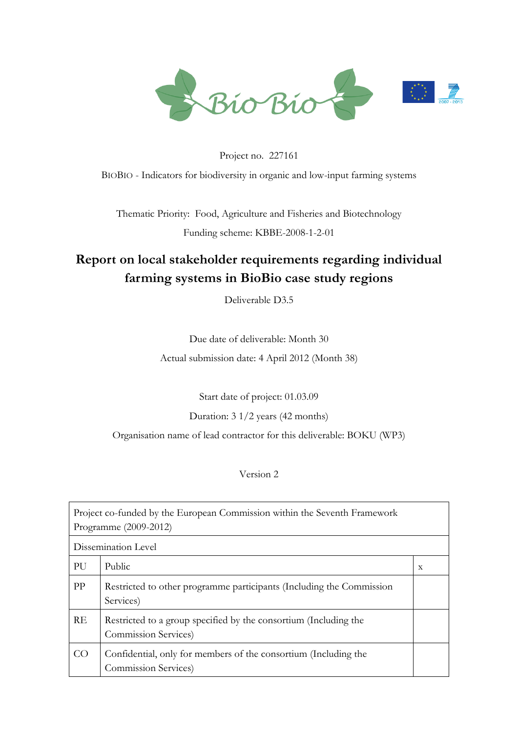

# Project no. 227161 BIOBIO - Indicators for biodiversity in organic and low-input farming systems

Thematic Priority: Food, Agriculture and Fisheries and Biotechnology Funding scheme: KBBE-2008-1-2-01

# <span id="page-0-0"></span>**Report on local stakeholder requirements regarding individual farming systems in BioBio case study regions**

Deliverable D3.5

Due date of deliverable: Month 30

Actual submission date: 4 April 2012 (Month 38)

Start date of project: 01.03.09

## Duration: 3 1/2 years (42 months)

Organisation name of lead contractor for this deliverable: BOKU (WP3)

## Version 2

|    | Project co-funded by the European Commission within the Seventh Framework<br>Programme (2009-2012) |   |  |  |
|----|----------------------------------------------------------------------------------------------------|---|--|--|
|    | Dissemination Level                                                                                |   |  |  |
| PU | Public                                                                                             | X |  |  |
| PP | Restricted to other programme participants (Including the Commission<br>Services)                  |   |  |  |
| RE | Restricted to a group specified by the consortium (Including the<br>Commission Services)           |   |  |  |
| CO | Confidential, only for members of the consortium (Including the<br>Commission Services)            |   |  |  |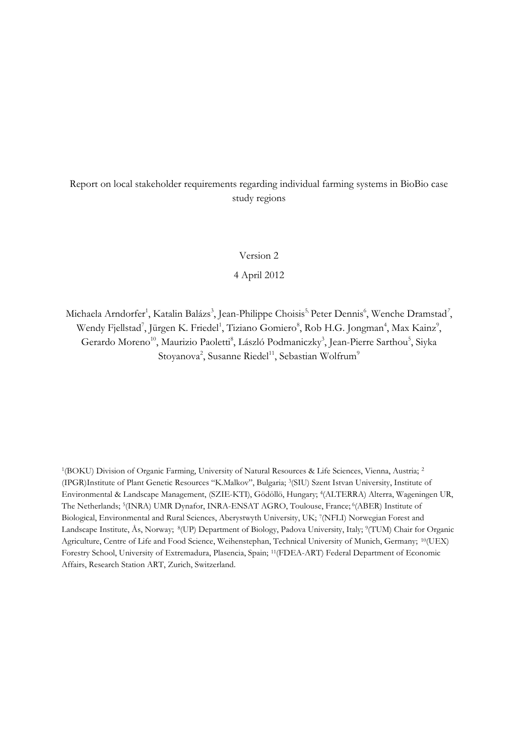### Report on local stakeholder requirements regarding individual farming systems in BioBio case study regions

Version 2

4 April 2012

Michaela Arndorfer<sup>1</sup>, Katalin Balázs<sup>3</sup>, Jean-Philippe Choisis<sup>5,</sup> Peter Dennis<sup>6</sup>, Wenche Dramstad<sup>7</sup>, Wendy Fjellstad<sup>7</sup>, Jürgen K. Friedel<sup>1</sup>, Tiziano Gomiero<sup>8</sup>, Rob H.G. Jongman<sup>4</sup>, Max Kainz<sup>9</sup>, Gerardo Moreno<sup>10</sup>, Maurizio Paoletti<sup>8</sup>, László Podmaniczky<sup>3</sup>, Jean-Pierre Sarthou<sup>5</sup>, Siyka Stoyanova<sup>2</sup>, Susanne Riedel<sup>11</sup>, Sebastian Wolfrum<sup>9</sup>

1 (BOKU) Division of Organic Farming, University of Natural Resources & Life Sciences, Vienna, Austria; <sup>2</sup> (IPGR)Institute of Plant Genetic Resources "K.Malkov", Bulgaria; <sup>3</sup> (SIU) Szent Istvan University, Institute of Environmental & Landscape Management, (SZIE-KTI), Gödöllö, Hungary; <sup>4</sup> (ALTERRA) Alterra, Wageningen UR, The Netherlands; <sup>5</sup>(INRA) UMR Dynafor, INRA-ENSAT AGRO, Toulouse, France; <sup>6</sup>(ABER) Institute of Biological, Environmental and Rural Sciences, Aberystwyth University, UK; <sup>7</sup> (NFLI) Norwegian Forest and Landscape Institute, Ås, Norway; <sup>8</sup> (UP) Department of Biology, Padova University, Italy; <sup>9</sup> (TUM) Chair for Organic Agriculture, Centre of Life and Food Science, Weihenstephan, Technical University of Munich, Germany; 10(UEX) Forestry School, University of Extremadura, Plasencia, Spain; 11(FDEA-ART) Federal Department of Economic Affairs, Research Station ART, Zurich, Switzerland.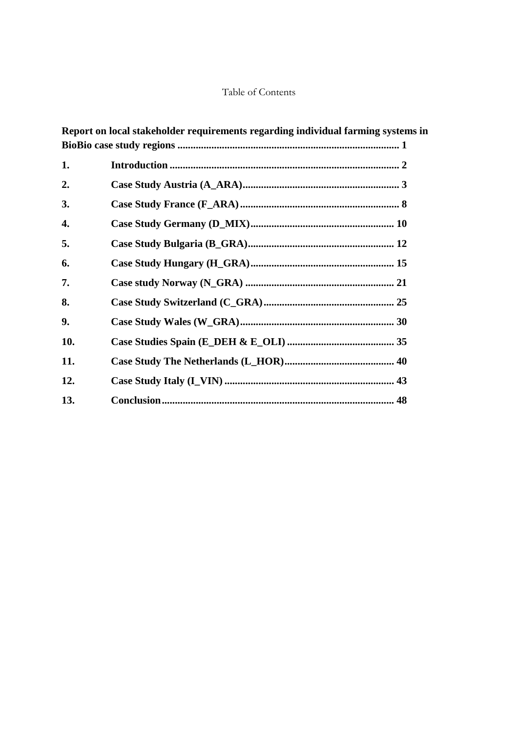### Table of Contents

|     | Report on local stakeholder requirements regarding individual farming systems in |
|-----|----------------------------------------------------------------------------------|
|     |                                                                                  |
| 1.  |                                                                                  |
| 2.  |                                                                                  |
| 3.  |                                                                                  |
| 4.  |                                                                                  |
| 5.  |                                                                                  |
| 6.  |                                                                                  |
| 7.  |                                                                                  |
| 8.  |                                                                                  |
| 9.  |                                                                                  |
| 10. |                                                                                  |
| 11. |                                                                                  |
| 12. |                                                                                  |
| 13. |                                                                                  |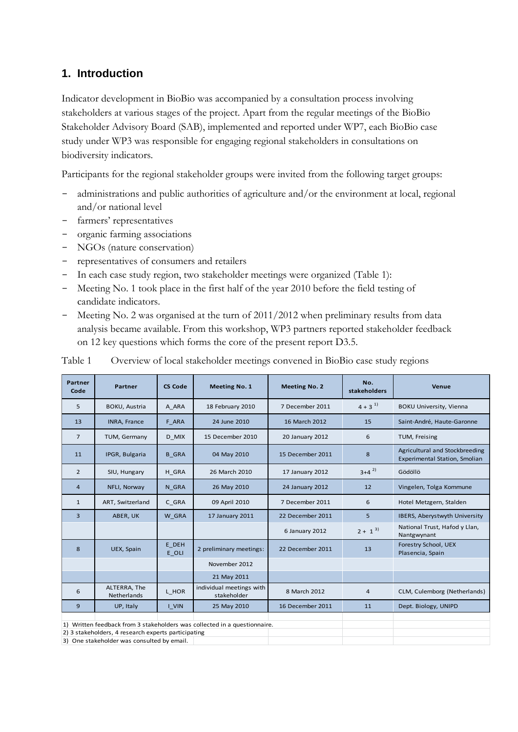# <span id="page-5-0"></span>**1. Introduction**

Indicator development in BioBio was accompanied by a consultation process involving stakeholders at various stages of the project. Apart from the regular meetings of the BioBio Stakeholder Advisory Board (SAB), implemented and reported under WP7, each BioBio case study under WP3 was responsible for engaging regional stakeholders in consultations on biodiversity indicators.

Participants for the regional stakeholder groups were invited from the following target groups:

- administrations and public authorities of agriculture and/or the environment at local, regional and/or national level
- farmers' representatives
- organic farming associations
- NGOs (nature conservation)
- representatives of consumers and retailers
- In each case study region, two stakeholder meetings were organized (Table 1):
- Meeting No. 1 took place in the first half of the year 2010 before the field testing of candidate indicators.
- Meeting No. 2 was organised at the turn of 2011/2012 when preliminary results from data analysis became available. From this workshop, WP3 partners reported stakeholder feedback on 12 key questions which forms the core of the present report D3.5.

| <b>Partner</b><br>Code                                                    | Partner                            | <b>CS Code</b> | <b>Meeting No. 1</b>                    | <b>Meeting No. 2</b> | No.<br>stakeholders | Venue                                                                  |  |
|---------------------------------------------------------------------------|------------------------------------|----------------|-----------------------------------------|----------------------|---------------------|------------------------------------------------------------------------|--|
| 5                                                                         | <b>BOKU, Austria</b>               | A ARA          | 18 February 2010                        | 7 December 2011      | $4 + 3^{1}$         | <b>BOKU University, Vienna</b>                                         |  |
| 13                                                                        | <b>INRA, France</b>                | F ARA          | 24 June 2010                            | 16 March 2012        | 15                  | Saint-André, Haute-Garonne                                             |  |
| $\overline{7}$                                                            | TUM, Germany                       | D MIX          | 15 December 2010                        | 20 January 2012      | 6                   | TUM, Freising                                                          |  |
| 11                                                                        | IPGR, Bulgaria                     | <b>B</b> GRA   | 04 May 2010                             | 15 December 2011     | 8                   | Agricultural and Stockbreeding<br><b>Experimental Station, Smolian</b> |  |
| $\overline{2}$                                                            | SIU, Hungary                       | H GRA          | 26 March 2010                           | 17 January 2012      | $3+4^{2}$           | Gödöllö                                                                |  |
| $\overline{4}$                                                            | NFLI, Norway                       | N GRA          | 26 May 2010                             | 24 January 2012      | 12                  | Vingelen, Tolga Kommune                                                |  |
| $\mathbf{1}$                                                              | ART, Switzerland                   | C GRA          | 09 April 2010                           | 7 December 2011      | 6                   | Hotel Metzgern, Stalden                                                |  |
| $\overline{3}$                                                            | ABER, UK                           | W GRA          | 17 January 2011                         | 22 December 2011     | 5                   | IBERS, Aberystwyth University                                          |  |
|                                                                           |                                    |                |                                         | 6 January 2012       | $2 + 1^{3}$         | National Trust, Hafod y Llan,<br>Nantgwynant                           |  |
| 8                                                                         | UEX, Spain                         | E DEH<br>E OLI | 2 preliminary meetings:                 | 22 December 2011     | 13                  | Forestry School, UEX<br>Plasencia, Spain                               |  |
|                                                                           |                                    |                | November 2012                           |                      |                     |                                                                        |  |
|                                                                           |                                    |                | 21 May 2011                             |                      |                     |                                                                        |  |
| 6                                                                         | ALTERRA, The<br><b>Netherlands</b> | L HOR          | individual meetings with<br>stakeholder | 8 March 2012         | $\overline{4}$      | CLM, Culemborg (Netherlands)                                           |  |
| 9                                                                         | UP, Italy                          | I VIN          | 25 May 2010                             | 16 December 2011     | 11                  | Dept. Biology, UNIPD                                                   |  |
|                                                                           |                                    |                |                                         |                      |                     |                                                                        |  |
| 1) Written feedback from 3 stakeholders was collected in a questionnaire. |                                    |                |                                         |                      |                     |                                                                        |  |
| 2) 3 stakeholders, 4 research experts participating                       |                                    |                |                                         |                      |                     |                                                                        |  |
| 3) One stakeholder was consulted by email.                                |                                    |                |                                         |                      |                     |                                                                        |  |

Table 1 Overview of local stakeholder meetings convened in BioBio case study regions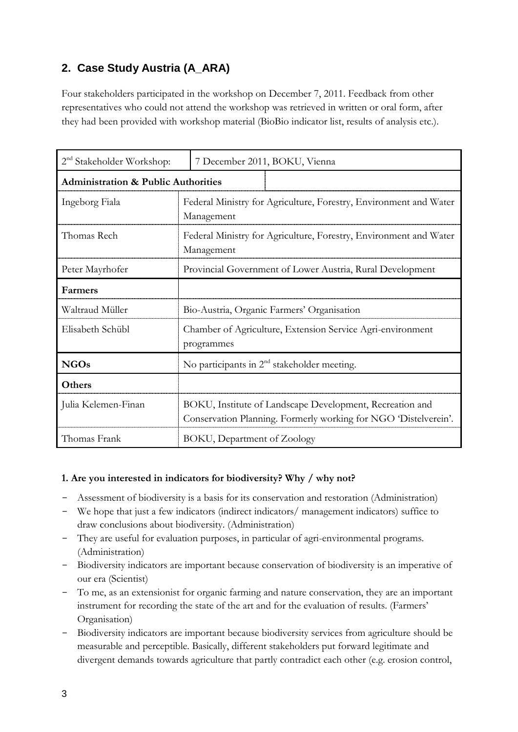# <span id="page-6-0"></span>**2. Case Study Austria (A\_ARA)**

Four stakeholders participated in the workshop on December 7, 2011. Feedback from other representatives who could not attend the workshop was retrieved in written or oral form, after they had been provided with workshop material (BioBio indicator list, results of analysis etc.).

| 2 <sup>nd</sup> Stakeholder Workshop:          | 7 December 2011, BOKU, Vienna                                                                                               |  |  |  |
|------------------------------------------------|-----------------------------------------------------------------------------------------------------------------------------|--|--|--|
| <b>Administration &amp; Public Authorities</b> |                                                                                                                             |  |  |  |
| Ingeborg Fiala                                 | Federal Ministry for Agriculture, Forestry, Environment and Water<br>Management                                             |  |  |  |
| Thomas Rech                                    | Federal Ministry for Agriculture, Forestry, Environment and Water<br>Management                                             |  |  |  |
| Peter Mayrhofer                                | Provincial Government of Lower Austria, Rural Development                                                                   |  |  |  |
| Farmers                                        |                                                                                                                             |  |  |  |
| Waltraud Müller                                | Bio-Austria, Organic Farmers' Organisation                                                                                  |  |  |  |
| Elisabeth Schübl                               | Chamber of Agriculture, Extension Service Agri-environment<br>programmes                                                    |  |  |  |
| <b>NGOs</b>                                    | No participants in 2 <sup>nd</sup> stakeholder meeting.                                                                     |  |  |  |
| Others                                         |                                                                                                                             |  |  |  |
| Julia Kelemen-Finan                            | BOKU, Institute of Landscape Development, Recreation and<br>Conservation Planning. Formerly working for NGO 'Distelverein'. |  |  |  |
| Thomas Frank                                   | BOKU, Department of Zoology                                                                                                 |  |  |  |

### **1. Are you interested in indicators for biodiversity? Why / why not?**

- Assessment of biodiversity is a basis for its conservation and restoration (Administration)
- We hope that just a few indicators (indirect indicators/ management indicators) suffice to draw conclusions about biodiversity. (Administration)
- They are useful for evaluation purposes, in particular of agri-environmental programs. (Administration)
- Biodiversity indicators are important because conservation of biodiversity is an imperative of our era (Scientist)
- To me, as an extensionist for organic farming and nature conservation, they are an important instrument for recording the state of the art and for the evaluation of results. (Farmers' Organisation)
- Biodiversity indicators are important because biodiversity services from agriculture should be measurable and perceptible. Basically, different stakeholders put forward legitimate and divergent demands towards agriculture that partly contradict each other (e.g. erosion control,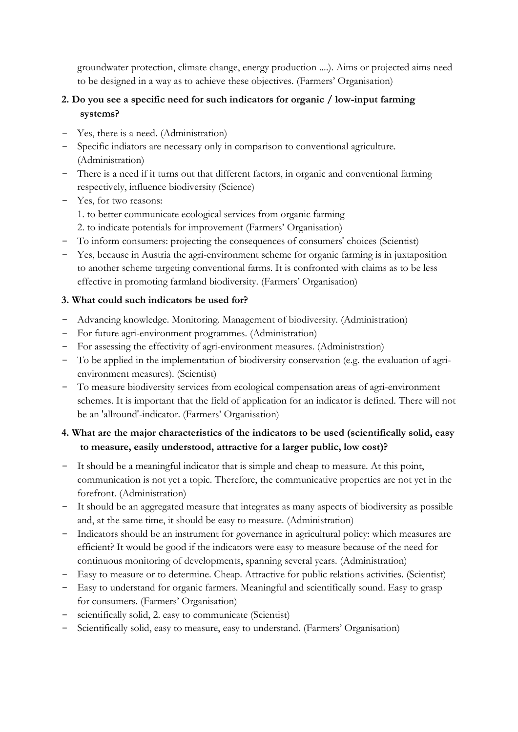groundwater protection, climate change, energy production ....). Aims or projected aims need to be designed in a way as to achieve these objectives. (Farmers" Organisation)

## **2. Do you see a specific need for such indicators for organic / low-input farming systems?**

- Yes, there is a need. (Administration)
- Specific indiators are necessary only in comparison to conventional agriculture. (Administration)
- There is a need if it turns out that different factors, in organic and conventional farming respectively, influence biodiversity (Science)
- Yes, for two reasons:
	- 1. to better communicate ecological services from organic farming
	- 2. to indicate potentials for improvement (Farmers" Organisation)
- To inform consumers: projecting the consequences of consumers' choices (Scientist)
- Yes, because in Austria the agri-environment scheme for organic farming is in juxtaposition to another scheme targeting conventional farms. It is confronted with claims as to be less effective in promoting farmland biodiversity. (Farmers" Organisation)

### **3. What could such indicators be used for?**

- Advancing knowledge. Monitoring. Management of biodiversity. (Administration)
- For future agri-environment programmes. (Administration)
- For assessing the effectivity of agri-environment measures. (Administration)
- To be applied in the implementation of biodiversity conservation (e.g. the evaluation of agrienvironment measures). (Scientist)
- To measure biodiversity services from ecological compensation areas of agri-environment schemes. It is important that the field of application for an indicator is defined. There will not be an 'allround'-indicator. (Farmers' Organisation)

# **4. What are the major characteristics of the indicators to be used (scientifically solid, easy to measure, easily understood, attractive for a larger public, low cost)?**

- It should be a meaningful indicator that is simple and cheap to measure. At this point, communication is not yet a topic. Therefore, the communicative properties are not yet in the forefront. (Administration)
- It should be an aggregated measure that integrates as many aspects of biodiversity as possible and, at the same time, it should be easy to measure. (Administration)
- Indicators should be an instrument for governance in agricultural policy: which measures are efficient? It would be good if the indicators were easy to measure because of the need for continuous monitoring of developments, spanning several years. (Administration)
- Easy to measure or to determine. Cheap. Attractive for public relations activities. (Scientist)
- Easy to understand for organic farmers. Meaningful and scientifically sound. Easy to grasp for consumers. (Farmers' Organisation)
- scientifically solid, 2. easy to communicate (Scientist)
- Scientifically solid, easy to measure, easy to understand. (Farmers' Organisation)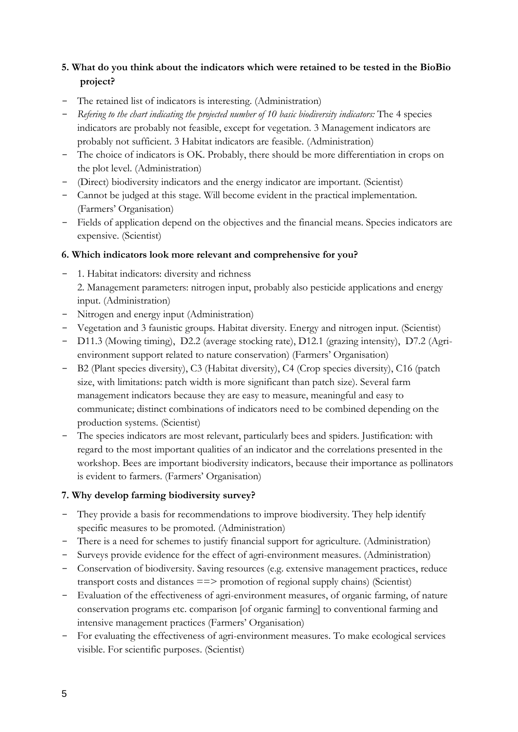# **5. What do you think about the indicators which were retained to be tested in the BioBio project?**

- The retained list of indicators is interesting. (Administration)
- *Refering to the chart indicating the projected number of 10 basic biodiversity indicators:* The 4 species indicators are probably not feasible, except for vegetation. 3 Management indicators are probably not sufficient. 3 Habitat indicators are feasible. (Administration)
- The choice of indicators is OK. Probably, there should be more differentiation in crops on the plot level. (Administration)
- (Direct) biodiversity indicators and the energy indicator are important. (Scientist)
- Cannot be judged at this stage. Will become evident in the practical implementation. (Farmers" Organisation)
- Fields of application depend on the objectives and the financial means. Species indicators are expensive. (Scientist)

### **6. Which indicators look more relevant and comprehensive for you?**

- 1. Habitat indicators: diversity and richness 2. Management parameters: nitrogen input, probably also pesticide applications and energy input. (Administration)
- Nitrogen and energy input (Administration)
- Vegetation and 3 faunistic groups. Habitat diversity. Energy and nitrogen input. (Scientist)
- D11.3 (Mowing timing), D2.2 (average stocking rate), D12.1 (grazing intensity), D7.2 (Agrienvironment support related to nature conservation) (Farmers" Organisation)
- B2 (Plant species diversity), C3 (Habitat diversity), C4 (Crop species diversity), C16 (patch size, with limitations: patch width is more significant than patch size). Several farm management indicators because they are easy to measure, meaningful and easy to communicate; distinct combinations of indicators need to be combined depending on the production systems. (Scientist)
- The species indicators are most relevant, particularly bees and spiders. Justification: with regard to the most important qualities of an indicator and the correlations presented in the workshop. Bees are important biodiversity indicators, because their importance as pollinators is evident to farmers. (Farmers' Organisation)

## **7. Why develop farming biodiversity survey?**

- They provide a basis for recommendations to improve biodiversity. They help identify specific measures to be promoted. (Administration)
- There is a need for schemes to justify financial support for agriculture. (Administration)
- Surveys provide evidence for the effect of agri-environment measures. (Administration)
- Conservation of biodiversity. Saving resources (e.g. extensive management practices, reduce transport costs and distances ==> promotion of regional supply chains) (Scientist)
- Evaluation of the effectiveness of agri-environment measures, of organic farming, of nature conservation programs etc. comparison [of organic farming] to conventional farming and intensive management practices (Farmers' Organisation)
- For evaluating the effectiveness of agri-environment measures. To make ecological services visible. For scientific purposes. (Scientist)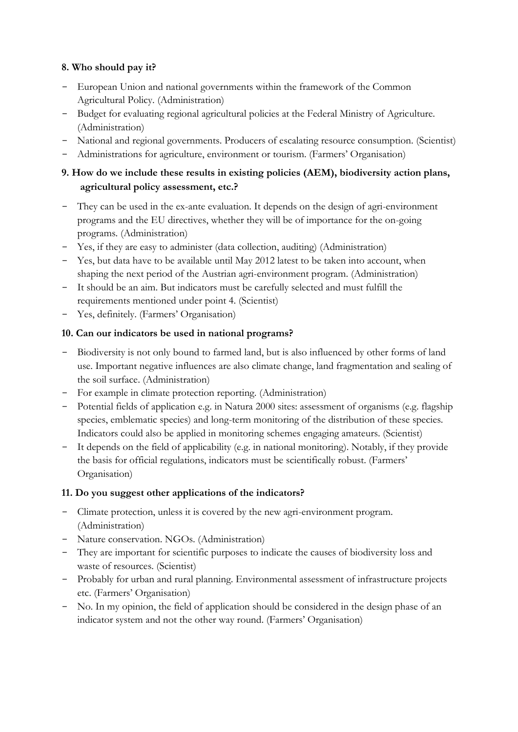### **8. Who should pay it?**

- European Union and national governments within the framework of the Common Agricultural Policy. (Administration)
- Budget for evaluating regional agricultural policies at the Federal Ministry of Agriculture. (Administration)
- National and regional governments. Producers of escalating resource consumption. (Scientist)
- Administrations for agriculture, environment or tourism. (Farmers" Organisation)

## **9. How do we include these results in existing policies (AEM), biodiversity action plans, agricultural policy assessment, etc.?**

- They can be used in the ex-ante evaluation. It depends on the design of agri-environment programs and the EU directives, whether they will be of importance for the on-going programs. (Administration)
- Yes, if they are easy to administer (data collection, auditing) (Administration)
- Yes, but data have to be available until May 2012 latest to be taken into account, when shaping the next period of the Austrian agri-environment program. (Administration)
- It should be an aim. But indicators must be carefully selected and must fulfill the requirements mentioned under point 4. (Scientist)
- Yes, definitely. (Farmers' Organisation)

### **10. Can our indicators be used in national programs?**

- Biodiversity is not only bound to farmed land, but is also influenced by other forms of land use. Important negative influences are also climate change, land fragmentation and sealing of the soil surface. (Administration)
- For example in climate protection reporting. (Administration)
- Potential fields of application e.g. in Natura 2000 sites: assessment of organisms (e.g. flagship species, emblematic species) and long-term monitoring of the distribution of these species. Indicators could also be applied in monitoring schemes engaging amateurs. (Scientist)
- It depends on the field of applicability (e.g. in national monitoring). Notably, if they provide the basis for official regulations, indicators must be scientifically robust. (Farmers' Organisation)

## **11. Do you suggest other applications of the indicators?**

- Climate protection, unless it is covered by the new agri-environment program. (Administration)
- Nature conservation. NGOs. (Administration)
- They are important for scientific purposes to indicate the causes of biodiversity loss and waste of resources. (Scientist)
- Probably for urban and rural planning. Environmental assessment of infrastructure projects etc. (Farmers" Organisation)
- No. In my opinion, the field of application should be considered in the design phase of an indicator system and not the other way round. (Farmers' Organisation)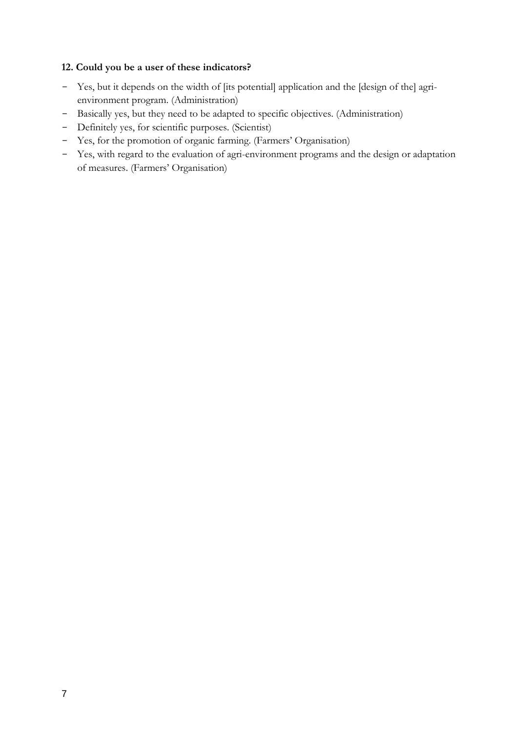### **12. Could you be a user of these indicators?**

- Yes, but it depends on the width of [its potential] application and the [design of the] agrienvironment program. (Administration)
- Basically yes, but they need to be adapted to specific objectives. (Administration)
- Definitely yes, for scientific purposes. (Scientist)
- Yes, for the promotion of organic farming. (Farmers" Organisation)
- Yes, with regard to the evaluation of agri-environment programs and the design or adaptation of measures. (Farmers" Organisation)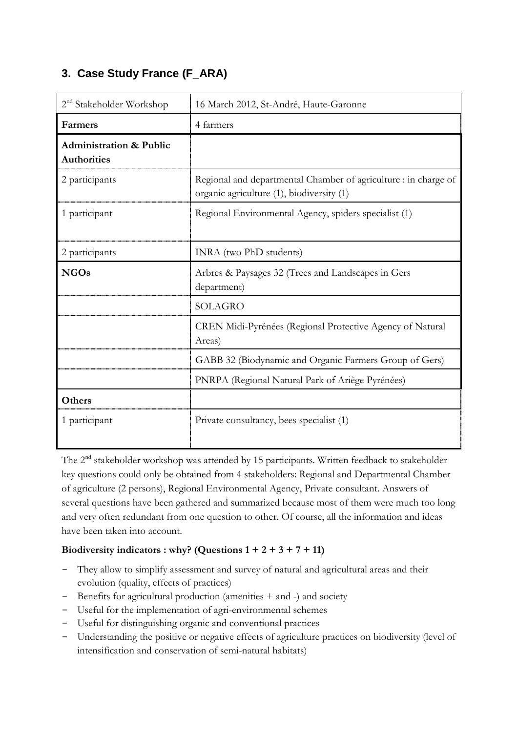# <span id="page-11-0"></span>**3. Case Study France (F\_ARA)**

| 2 <sup>nd</sup> Stakeholder Workshop                     | 16 March 2012, St-André, Haute-Garonne                                                                       |  |  |  |
|----------------------------------------------------------|--------------------------------------------------------------------------------------------------------------|--|--|--|
| Farmers                                                  | 4 farmers                                                                                                    |  |  |  |
| <b>Administration &amp; Public</b><br><b>Authorities</b> |                                                                                                              |  |  |  |
| 2 participants                                           | Regional and departmental Chamber of agriculture : in charge of<br>organic agriculture (1), biodiversity (1) |  |  |  |
| 1 participant                                            | Regional Environmental Agency, spiders specialist (1)                                                        |  |  |  |
| 2 participants                                           | INRA (two PhD students)                                                                                      |  |  |  |
| <b>NGOs</b>                                              | Arbres & Paysages 32 (Trees and Landscapes in Gers<br>department)                                            |  |  |  |
|                                                          | <b>SOLAGRO</b>                                                                                               |  |  |  |
|                                                          | CREN Midi-Pyrénées (Regional Protective Agency of Natural<br>Areas)                                          |  |  |  |
|                                                          | GABB 32 (Biodynamic and Organic Farmers Group of Gers)                                                       |  |  |  |
|                                                          | PNRPA (Regional Natural Park of Ariège Pyrénées)                                                             |  |  |  |
| Others                                                   |                                                                                                              |  |  |  |
| 1 participant                                            | Private consultancy, bees specialist (1)                                                                     |  |  |  |

The 2<sup>nd</sup> stakeholder workshop was attended by 15 participants. Written feedback to stakeholder key questions could only be obtained from 4 stakeholders: Regional and Departmental Chamber of agriculture (2 persons), Regional Environmental Agency, Private consultant. Answers of several questions have been gathered and summarized because most of them were much too long and very often redundant from one question to other. Of course, all the information and ideas have been taken into account.

## Biodiversity indicators : why? (Questions  $1 + 2 + 3 + 7 + 11$ )

- They allow to simplify assessment and survey of natural and agricultural areas and their evolution (quality, effects of practices)
- Benefits for agricultural production (amenities + and -) and society
- Useful for the implementation of agri-environmental schemes
- Useful for distinguishing organic and conventional practices
- Understanding the positive or negative effects of agriculture practices on biodiversity (level of intensification and conservation of semi-natural habitats)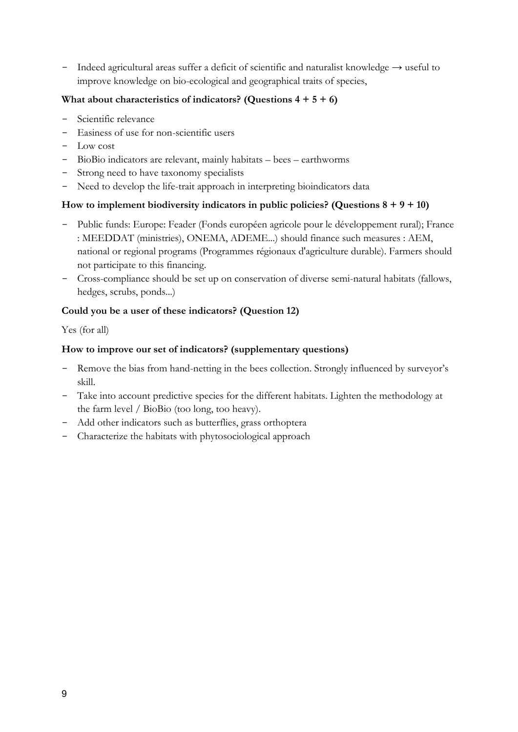- Indeed agricultural areas suffer a deficit of scientific and naturalist knowledge → useful to improve knowledge on bio-ecological and geographical traits of species,

### **What about characteristics of indicators? (Questions 4 + 5 + 6)**

- Scientific relevance
- Easiness of use for non-scientific users
- Low cost
- BioBio indicators are relevant, mainly habitats bees earthworms
- Strong need to have taxonomy specialists
- Need to develop the life-trait approach in interpreting bioindicators data

### **How to implement biodiversity indicators in public policies? (Questions 8 + 9 + 10)**

- Public funds: Europe: Feader (Fonds européen agricole pour le développement rural); France : MEEDDAT (ministries), ONEMA, ADEME...) should finance such measures : AEM, national or regional programs (Programmes régionaux d'agriculture durable). Farmers should not participate to this financing.
- Cross-compliance should be set up on conservation of diverse semi-natural habitats (fallows, hedges, scrubs, ponds...)

### **Could you be a user of these indicators? (Question 12)**

Yes (for all)

### **How to improve our set of indicators? (supplementary questions)**

- Remove the bias from hand-netting in the bees collection. Strongly influenced by surveyor's skill.
- Take into account predictive species for the different habitats. Lighten the methodology at the farm level / BioBio (too long, too heavy).
- Add other indicators such as butterflies, grass orthoptera
- Characterize the habitats with phytosociological approach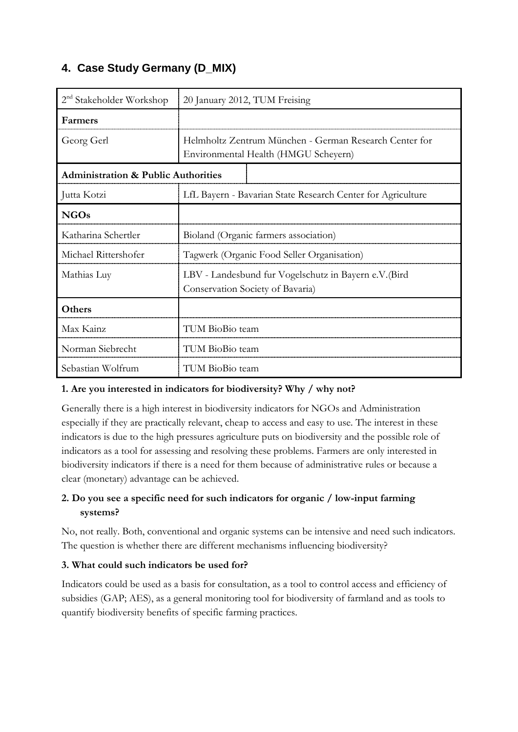# <span id="page-13-0"></span>**4. Case Study Germany (D\_MIX)**

| $2nd$ Stakeholder Workshop                     | 20 January 2012, TUM Freising                                                                  |  |  |
|------------------------------------------------|------------------------------------------------------------------------------------------------|--|--|
| Farmers                                        |                                                                                                |  |  |
| Georg Gerl                                     | Helmholtz Zentrum München - German Research Center for<br>Environmental Health (HMGU Scheyern) |  |  |
| <b>Administration &amp; Public Authorities</b> |                                                                                                |  |  |
| Jutta Kotzi                                    | LfL Bayern - Bavarian State Research Center for Agriculture                                    |  |  |
| <b>NGOs</b>                                    |                                                                                                |  |  |
| Katharina Schertler                            | Bioland (Organic farmers association)                                                          |  |  |
| Michael Rittershofer                           | Tagwerk (Organic Food Seller Organisation)                                                     |  |  |
| Mathias Luy                                    | LBV - Landesbund fur Vogelschutz in Bayern e.V. (Bird<br>Conservation Society of Bavaria)      |  |  |
| Others                                         |                                                                                                |  |  |
| Max Kainz                                      | TUM BioBio team                                                                                |  |  |
| Norman Siebrecht                               | TUM BioBio team                                                                                |  |  |
| Sebastian Wolfrum                              | TUM BioBio team                                                                                |  |  |

## **1. Are you interested in indicators for biodiversity? Why / why not?**

Generally there is a high interest in biodiversity indicators for NGOs and Administration especially if they are practically relevant, cheap to access and easy to use. The interest in these indicators is due to the high pressures agriculture puts on biodiversity and the possible role of indicators as a tool for assessing and resolving these problems. Farmers are only interested in biodiversity indicators if there is a need for them because of administrative rules or because a clear (monetary) advantage can be achieved.

# **2. Do you see a specific need for such indicators for organic / low-input farming systems?**

No, not really. Both, conventional and organic systems can be intensive and need such indicators. The question is whether there are different mechanisms influencing biodiversity?

## **3. What could such indicators be used for?**

Indicators could be used as a basis for consultation, as a tool to control access and efficiency of subsidies (GAP; AES), as a general monitoring tool for biodiversity of farmland and as tools to quantify biodiversity benefits of specific farming practices.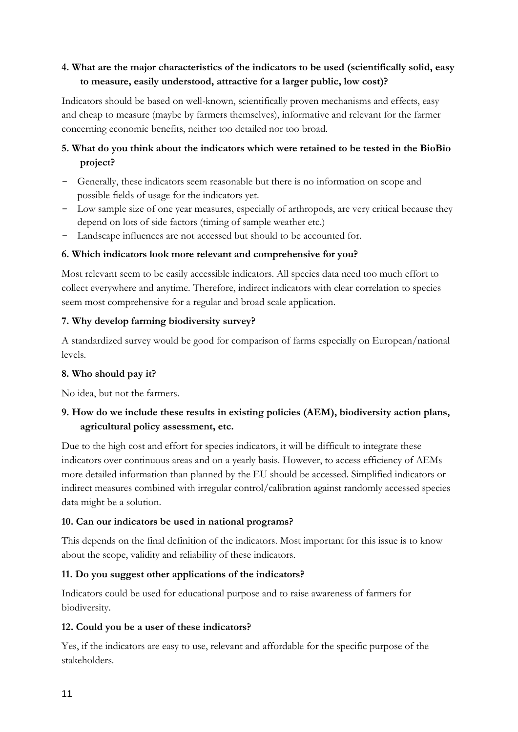# **4. What are the major characteristics of the indicators to be used (scientifically solid, easy to measure, easily understood, attractive for a larger public, low cost)?**

Indicators should be based on well-known, scientifically proven mechanisms and effects, easy and cheap to measure (maybe by farmers themselves), informative and relevant for the farmer concerning economic benefits, neither too detailed nor too broad.

# **5. What do you think about the indicators which were retained to be tested in the BioBio project?**

- Generally, these indicators seem reasonable but there is no information on scope and possible fields of usage for the indicators yet.
- Low sample size of one year measures, especially of arthropods, are very critical because they depend on lots of side factors (timing of sample weather etc.)
- Landscape influences are not accessed but should to be accounted for.

### **6. Which indicators look more relevant and comprehensive for you?**

Most relevant seem to be easily accessible indicators. All species data need too much effort to collect everywhere and anytime. Therefore, indirect indicators with clear correlation to species seem most comprehensive for a regular and broad scale application.

### **7. Why develop farming biodiversity survey?**

A standardized survey would be good for comparison of farms especially on European/national levels.

### **8. Who should pay it?**

No idea, but not the farmers.

## **9. How do we include these results in existing policies (AEM), biodiversity action plans, agricultural policy assessment, etc.**

Due to the high cost and effort for species indicators, it will be difficult to integrate these indicators over continuous areas and on a yearly basis. However, to access efficiency of AEMs more detailed information than planned by the EU should be accessed. Simplified indicators or indirect measures combined with irregular control/calibration against randomly accessed species data might be a solution.

### **10. Can our indicators be used in national programs?**

This depends on the final definition of the indicators. Most important for this issue is to know about the scope, validity and reliability of these indicators.

## **11. Do you suggest other applications of the indicators?**

Indicators could be used for educational purpose and to raise awareness of farmers for biodiversity.

### **12. Could you be a user of these indicators?**

Yes, if the indicators are easy to use, relevant and affordable for the specific purpose of the stakeholders.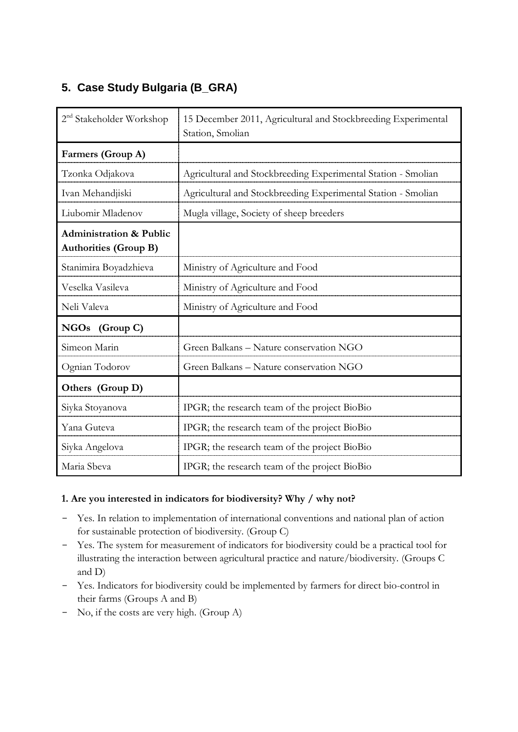# <span id="page-15-0"></span>**5. Case Study Bulgaria (B\_GRA)**

| 2 <sup>nd</sup> Stakeholder Workshop                               | 15 December 2011, Agricultural and Stockbreeding Experimental<br>Station, Smolian |  |  |
|--------------------------------------------------------------------|-----------------------------------------------------------------------------------|--|--|
| Farmers (Group A)                                                  |                                                                                   |  |  |
| Tzonka Odjakova                                                    | Agricultural and Stockbreeding Experimental Station - Smolian                     |  |  |
| Ivan Mehandjiski                                                   | Agricultural and Stockbreeding Experimental Station - Smolian                     |  |  |
| Liubomir Mladenov                                                  | Mugla village, Society of sheep breeders                                          |  |  |
| <b>Administration &amp; Public</b><br><b>Authorities (Group B)</b> |                                                                                   |  |  |
| Stanimira Boyadzhieva                                              | Ministry of Agriculture and Food                                                  |  |  |
| Veselka Vasileva                                                   | Ministry of Agriculture and Food                                                  |  |  |
| Neli Valeva                                                        | Ministry of Agriculture and Food                                                  |  |  |
| NGOs (Group C)                                                     |                                                                                   |  |  |
| Simeon Marin                                                       | Green Balkans - Nature conservation NGO                                           |  |  |
| Ognian Todorov                                                     | Green Balkans - Nature conservation NGO                                           |  |  |
| Others (Group D)                                                   |                                                                                   |  |  |
| Siyka Stoyanova                                                    | IPGR; the research team of the project BioBio                                     |  |  |
| Yana Guteva                                                        | IPGR; the research team of the project BioBio                                     |  |  |
| Siyka Angelova                                                     | IPGR; the research team of the project BioBio                                     |  |  |
| Maria Sbeva                                                        | IPGR; the research team of the project BioBio                                     |  |  |

### **1. Are you interested in indicators for biodiversity? Why / why not?**

- Yes. In relation to implementation of international conventions and national plan of action for sustainable protection of biodiversity. (Group C)
- Yes. The system for measurement of indicators for biodiversity could be a practical tool for illustrating the interaction between agricultural practice and nature/biodiversity. (Groups C and D)
- Yes. Indicators for biodiversity could be implemented by farmers for direct bio-control in their farms (Groups A and B)
- No, if the costs are very high. (Group A)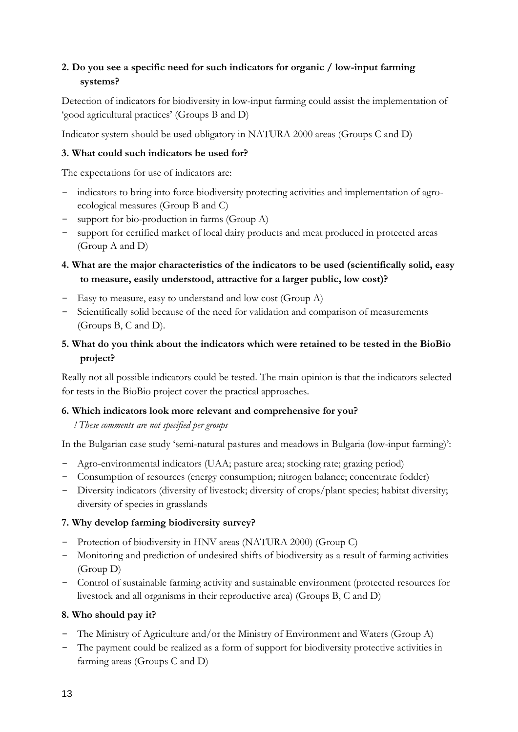## **2. Do you see a specific need for such indicators for organic / low-input farming systems?**

Detection of indicators for biodiversity in low-input farming could assist the implementation of 'good agricultural practices' (Groups B and D)

Indicator system should be used obligatory in NATURA 2000 areas (Groups C and D)

### **3. What could such indicators be used for?**

The expectations for use of indicators are:

- indicators to bring into force biodiversity protecting activities and implementation of agroecological measures (Group B and C)
- support for bio-production in farms (Group A)
- support for certified market of local dairy products and meat produced in protected areas (Group A and D)

# **4. What are the major characteristics of the indicators to be used (scientifically solid, easy to measure, easily understood, attractive for a larger public, low cost)?**

- Easy to measure, easy to understand and low cost (Group A)
- Scientifically solid because of the need for validation and comparison of measurements (Groups B, C and D).

## **5. What do you think about the indicators which were retained to be tested in the BioBio project?**

Really not all possible indicators could be tested. The main opinion is that the indicators selected for tests in the BioBio project cover the practical approaches.

### **6. Which indicators look more relevant and comprehensive for you?**

### *! These comments are not specified per groups*

In the Bulgarian case study 'semi-natural pastures and meadows in Bulgaria (low-input farming)':

- Agro-environmental indicators (UAA; pasture area; stocking rate; grazing period)
- Consumption of resources (energy consumption; nitrogen balance; concentrate fodder)
- Diversity indicators (diversity of livestock; diversity of crops/plant species; habitat diversity; diversity of species in grasslands

## **7. Why develop farming biodiversity survey?**

- Protection of biodiversity in HNV areas (NATURA 2000) (Group C)
- Monitoring and prediction of undesired shifts of biodiversity as a result of farming activities (Group D)
- Control of sustainable farming activity and sustainable environment (protected resources for livestock and all organisms in their reproductive area) (Groups B, C and D)

## **8. Who should pay it?**

- The Ministry of Agriculture and/or the Ministry of Environment and Waters (Group A)
- The payment could be realized as a form of support for biodiversity protective activities in farming areas (Groups C and D)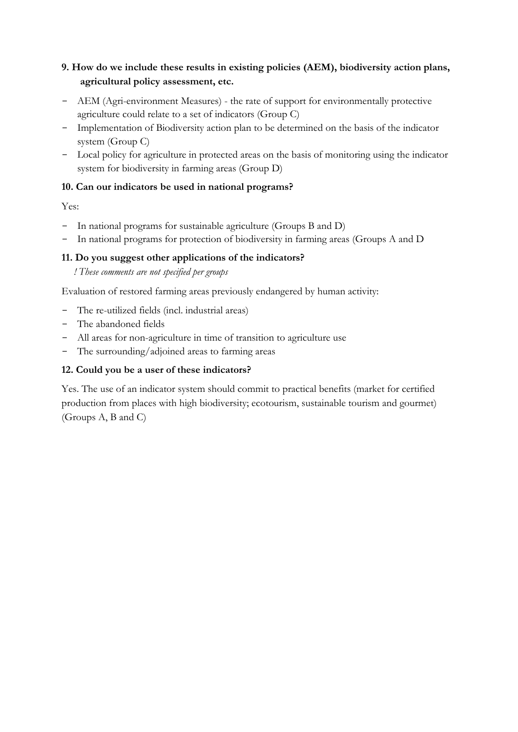# **9. How do we include these results in existing policies (AEM), biodiversity action plans, agricultural policy assessment, etc.**

- AEM (Agri-environment Measures) the rate of support for environmentally protective agriculture could relate to a set of indicators (Group C)
- Implementation of Biodiversity action plan to be determined on the basis of the indicator system (Group C)
- Local policy for agriculture in protected areas on the basis of monitoring using the indicator system for biodiversity in farming areas (Group D)

## **10. Can our indicators be used in national programs?**

### Yes:

- In national programs for sustainable agriculture (Groups B and D)
- In national programs for protection of biodiversity in farming areas (Groups A and D

### **11. Do you suggest other applications of the indicators?**

*! These comments are not specified per groups*

Evaluation of restored farming areas previously endangered by human activity:

- The re-utilized fields (incl. industrial areas)
- The abandoned fields
- All areas for non-agriculture in time of transition to agriculture use
- The surrounding/adjoined areas to farming areas

### **12. Could you be a user of these indicators?**

Yes. The use of an indicator system should commit to practical benefits (market for certified production from places with high biodiversity; ecotourism, sustainable tourism and gourmet) (Groups A, B and C)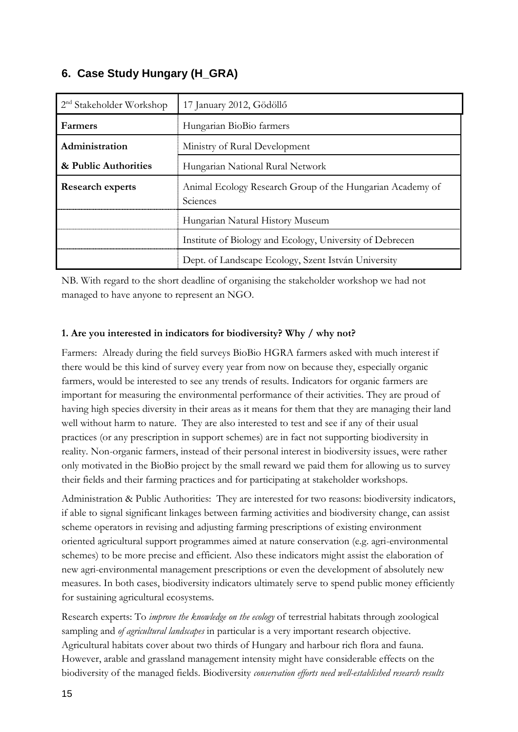# <span id="page-18-0"></span>**6. Case Study Hungary (H\_GRA)**

| $2nd$ Stakeholder Workshop | 17 January 2012, Gödöllő                                              |  |  |
|----------------------------|-----------------------------------------------------------------------|--|--|
| <b>Farmers</b>             | Hungarian BioBio farmers                                              |  |  |
| Administration             | Ministry of Rural Development                                         |  |  |
| & Public Authorities       | Hungarian National Rural Network                                      |  |  |
| <b>Research experts</b>    | Animal Ecology Research Group of the Hungarian Academy of<br>Sciences |  |  |
|                            | Hungarian Natural History Museum                                      |  |  |
|                            | Institute of Biology and Ecology, University of Debrecen              |  |  |
|                            | Dept. of Landscape Ecology, Szent István University                   |  |  |

NB. With regard to the short deadline of organising the stakeholder workshop we had not managed to have anyone to represent an NGO.

### **1. Are you interested in indicators for biodiversity? Why / why not?**

Farmers: Already during the field surveys BioBio HGRA farmers asked with much interest if there would be this kind of survey every year from now on because they, especially organic farmers, would be interested to see any trends of results. Indicators for organic farmers are important for measuring the environmental performance of their activities. They are proud of having high species diversity in their areas as it means for them that they are managing their land well without harm to nature. They are also interested to test and see if any of their usual practices (or any prescription in support schemes) are in fact not supporting biodiversity in reality. Non-organic farmers, instead of their personal interest in biodiversity issues, were rather only motivated in the BioBio project by the small reward we paid them for allowing us to survey their fields and their farming practices and for participating at stakeholder workshops.

Administration & Public Authorities: They are interested for two reasons: biodiversity indicators, if able to signal significant linkages between farming activities and biodiversity change, can assist scheme operators in revising and adjusting farming prescriptions of existing environment oriented agricultural support programmes aimed at nature conservation (e.g. agri-environmental schemes) to be more precise and efficient. Also these indicators might assist the elaboration of new agri-environmental management prescriptions or even the development of absolutely new measures. In both cases, biodiversity indicators ultimately serve to spend public money efficiently for sustaining agricultural ecosystems.

Research experts: To *improve the knowledge on the ecology* of terrestrial habitats through zoological sampling and *of agricultural landscapes* in particular is a very important research objective. Agricultural habitats cover about two thirds of Hungary and harbour rich flora and fauna. However, arable and grassland management intensity might have considerable effects on the biodiversity of the managed fields. Biodiversity *conservation efforts need well-established research results*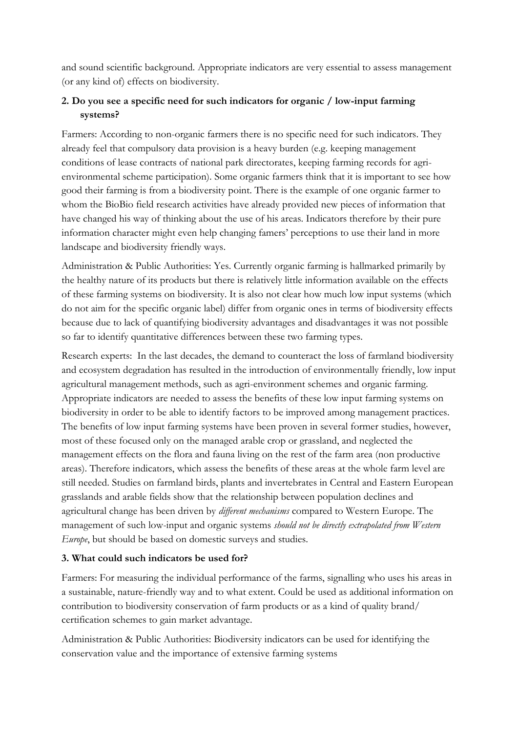and sound scientific background. Appropriate indicators are very essential to assess management (or any kind of) effects on biodiversity.

# **2. Do you see a specific need for such indicators for organic / low-input farming systems?**

Farmers: According to non-organic farmers there is no specific need for such indicators. They already feel that compulsory data provision is a heavy burden (e.g. keeping management conditions of lease contracts of national park directorates, keeping farming records for agrienvironmental scheme participation). Some organic farmers think that it is important to see how good their farming is from a biodiversity point. There is the example of one organic farmer to whom the BioBio field research activities have already provided new pieces of information that have changed his way of thinking about the use of his areas. Indicators therefore by their pure information character might even help changing famers" perceptions to use their land in more landscape and biodiversity friendly ways.

Administration & Public Authorities: Yes. Currently organic farming is hallmarked primarily by the healthy nature of its products but there is relatively little information available on the effects of these farming systems on biodiversity. It is also not clear how much low input systems (which do not aim for the specific organic label) differ from organic ones in terms of biodiversity effects because due to lack of quantifying biodiversity advantages and disadvantages it was not possible so far to identify quantitative differences between these two farming types.

Research experts: In the last decades, the demand to counteract the loss of farmland biodiversity and ecosystem degradation has resulted in the introduction of environmentally friendly, low input agricultural management methods, such as agri-environment schemes and organic farming. Appropriate indicators are needed to assess the benefits of these low input farming systems on biodiversity in order to be able to identify factors to be improved among management practices. The benefits of low input farming systems have been proven in several former studies, however, most of these focused only on the managed arable crop or grassland, and neglected the management effects on the flora and fauna living on the rest of the farm area (non productive areas). Therefore indicators, which assess the benefits of these areas at the whole farm level are still needed. Studies on farmland birds, plants and invertebrates in Central and Eastern European grasslands and arable fields show that the relationship between population declines and agricultural change has been driven by *different mechanisms* compared to Western Europe. The management of such low-input and organic systems *should not be directly extrapolated from Western Europe*, but should be based on domestic surveys and studies.

## **3. What could such indicators be used for?**

Farmers: For measuring the individual performance of the farms, signalling who uses his areas in a sustainable, nature-friendly way and to what extent. Could be used as additional information on contribution to biodiversity conservation of farm products or as a kind of quality brand/ certification schemes to gain market advantage.

Administration & Public Authorities: Biodiversity indicators can be used for identifying the conservation value and the importance of extensive farming systems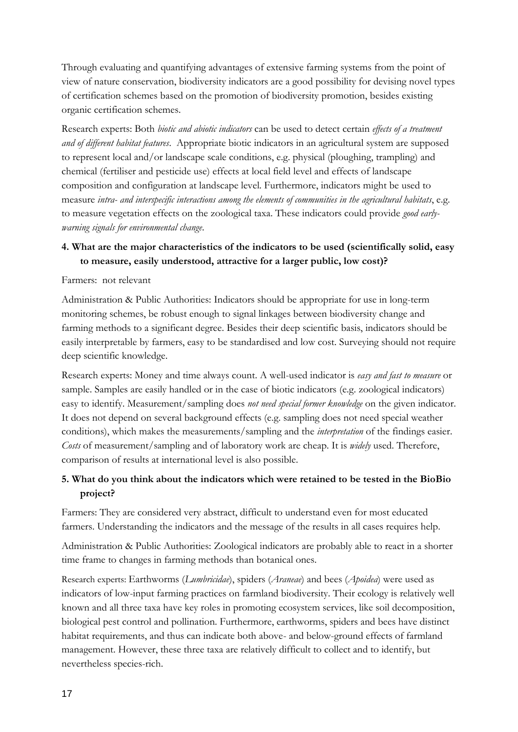Through evaluating and quantifying advantages of extensive farming systems from the point of view of nature conservation, biodiversity indicators are a good possibility for devising novel types of certification schemes based on the promotion of biodiversity promotion, besides existing organic certification schemes.

Research experts: Both *biotic and abiotic indicators* can be used to detect certain *effects of a treatment and of different habitat features*. Appropriate biotic indicators in an agricultural system are supposed to represent local and/or landscape scale conditions, e.g. physical (ploughing, trampling) and chemical (fertiliser and pesticide use) effects at local field level and effects of landscape composition and configuration at landscape level. Furthermore, indicators might be used to measure *intra- and interspecific interactions among the elements of communities in the agricultural habitats*, e.g. to measure vegetation effects on the zoological taxa. These indicators could provide *good earlywarning signals for environmental change*.

## **4. What are the major characteristics of the indicators to be used (scientifically solid, easy to measure, easily understood, attractive for a larger public, low cost)?**

#### Farmers: not relevant

Administration & Public Authorities: Indicators should be appropriate for use in long-term monitoring schemes, be robust enough to signal linkages between biodiversity change and farming methods to a significant degree. Besides their deep scientific basis, indicators should be easily interpretable by farmers, easy to be standardised and low cost. Surveying should not require deep scientific knowledge.

Research experts: Money and time always count. A well-used indicator is *easy and fast to measure* or sample. Samples are easily handled or in the case of biotic indicators (e.g. zoological indicators) easy to identify. Measurement/sampling does *not need special former knowledge* on the given indicator. It does not depend on several background effects (e.g. sampling does not need special weather conditions), which makes the measurements/sampling and the *interpretation* of the findings easier. *Costs* of measurement/sampling and of laboratory work are cheap. It is *widely* used. Therefore, comparison of results at international level is also possible.

## **5. What do you think about the indicators which were retained to be tested in the BioBio project?**

Farmers: They are considered very abstract, difficult to understand even for most educated farmers. Understanding the indicators and the message of the results in all cases requires help.

Administration & Public Authorities: Zoological indicators are probably able to react in a shorter time frame to changes in farming methods than botanical ones.

Research experts: Earthworms (*Lumbricidae*), spiders (*Araneae*) and bees (*Apoidea*) were used as indicators of low-input farming practices on farmland biodiversity. Their ecology is relatively well known and all three taxa have key roles in promoting ecosystem services, like soil decomposition, biological pest control and pollination. Furthermore, earthworms, spiders and bees have distinct habitat requirements, and thus can indicate both above- and below-ground effects of farmland management. However, these three taxa are relatively difficult to collect and to identify, but nevertheless species-rich.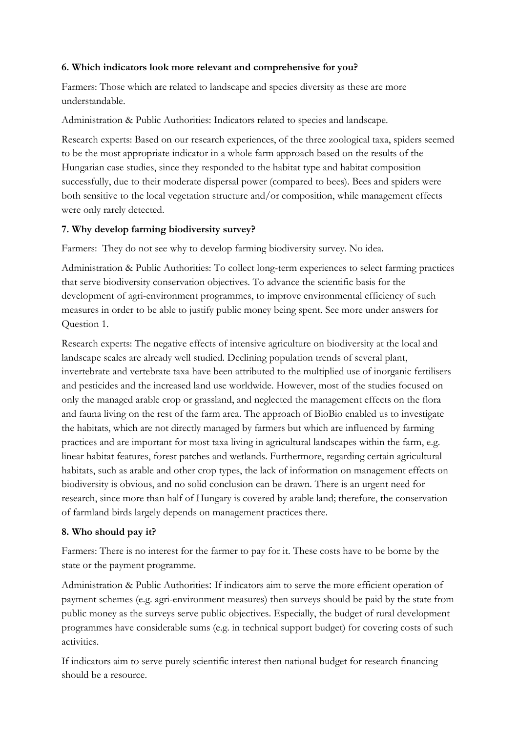### **6. Which indicators look more relevant and comprehensive for you?**

Farmers: Those which are related to landscape and species diversity as these are more understandable.

Administration & Public Authorities: Indicators related to species and landscape.

Research experts: Based on our research experiences, of the three zoological taxa, spiders seemed to be the most appropriate indicator in a whole farm approach based on the results of the Hungarian case studies, since they responded to the habitat type and habitat composition successfully, due to their moderate dispersal power (compared to bees). Bees and spiders were both sensitive to the local vegetation structure and/or composition, while management effects were only rarely detected.

### **7. Why develop farming biodiversity survey?**

Farmers: They do not see why to develop farming biodiversity survey. No idea.

Administration & Public Authorities: To collect long-term experiences to select farming practices that serve biodiversity conservation objectives. To advance the scientific basis for the development of agri-environment programmes, to improve environmental efficiency of such measures in order to be able to justify public money being spent. See more under answers for Question 1.

Research experts: The negative effects of intensive agriculture on biodiversity at the local and landscape scales are already well studied. Declining population trends of several plant, invertebrate and vertebrate taxa have been attributed to the multiplied use of inorganic fertilisers and pesticides and the increased land use worldwide. However, most of the studies focused on only the managed arable crop or grassland, and neglected the management effects on the flora and fauna living on the rest of the farm area. The approach of BioBio enabled us to investigate the habitats, which are not directly managed by farmers but which are influenced by farming practices and are important for most taxa living in agricultural landscapes within the farm, e.g. linear habitat features, forest patches and wetlands. Furthermore, regarding certain agricultural habitats, such as arable and other crop types, the lack of information on management effects on biodiversity is obvious, and no solid conclusion can be drawn. There is an urgent need for research, since more than half of Hungary is covered by arable land; therefore, the conservation of farmland birds largely depends on management practices there.

### **8. Who should pay it?**

Farmers: There is no interest for the farmer to pay for it. These costs have to be borne by the state or the payment programme.

Administration & Public Authorities: If indicators aim to serve the more efficient operation of payment schemes (e.g. agri-environment measures) then surveys should be paid by the state from public money as the surveys serve public objectives. Especially, the budget of rural development programmes have considerable sums (e.g. in technical support budget) for covering costs of such activities.

If indicators aim to serve purely scientific interest then national budget for research financing should be a resource.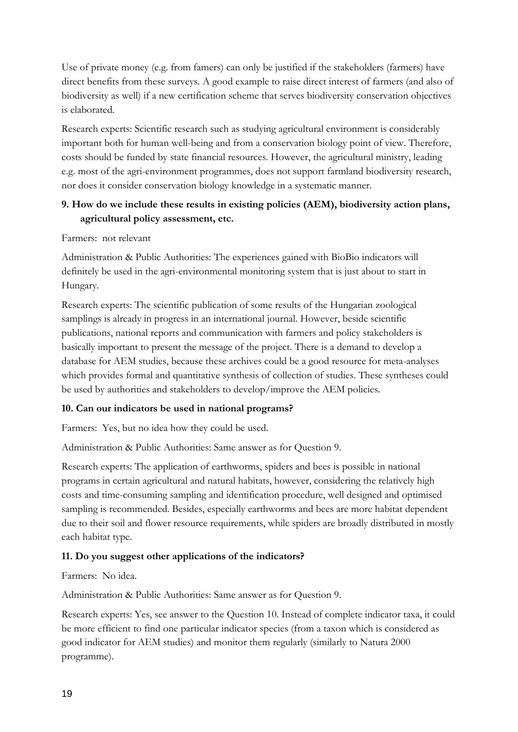Use of private money (e.g. from famers) can only be justified if the stakeholders (farmers) have direct benefits from these surveys. A good example to raise direct interest of farmers (and also of biodiversity as well) if a new certification scheme that serves biodiversity conservation objectives is elaborated.

Research experts: Scientific research such as studying agricultural environment is considerably important both for human well-being and from a conservation biology point of view. Therefore, costs should be funded by state financial resources. However, the agricultural ministry, leading e.g. most of the agri-environment programmes, does not support farmland biodiversity research, nor does it consider conservation biology knowledge in a systematic manner.

## **9. How do we include these results in existing policies (AEM), biodiversity action plans, agricultural policy assessment, etc.**

#### Farmers: not relevant

Administration & Public Authorities: The experiences gained with BioBio indicators will definitely be used in the agri-environmental monitoring system that is just about to start in Hungary.

Research experts: The scientific publication of some results of the Hungarian zoological samplings is already in progress in an international journal. However, beside scientific publications, national reports and communication with farmers and policy stakeholders is basically important to present the message of the project. There is a demand to develop a database for AEM studies, because these archives could be a good resource for meta-analyses which provides formal and quantitative synthesis of collection of studies. These syntheses could be used by authorities and stakeholders to develop/improve the AEM policies.

### **10. Can our indicators be used in national programs?**

Farmers: Yes, but no idea how they could be used.

Administration & Public Authorities: Same answer as for Question 9.

Research experts: The application of earthworms, spiders and bees is possible in national programs in certain agricultural and natural habitats, however, considering the relatively high costs and time-consuming sampling and identification procedure, well designed and optimised sampling is recommended. Besides, especially earthworms and bees are more habitat dependent due to their soil and flower resource requirements, while spiders are broadly distributed in mostly each habitat type.

### **11. Do you suggest other applications of the indicators?**

Farmers: No idea.

Administration & Public Authorities: Same answer as for Question 9.

Research experts: Yes, see answer to the Question 10. Instead of complete indicator taxa, it could be more efficient to find one particular indicator species (from a taxon which is considered as good indicator for AEM studies) and monitor them regularly (similarly to Natura 2000 programme).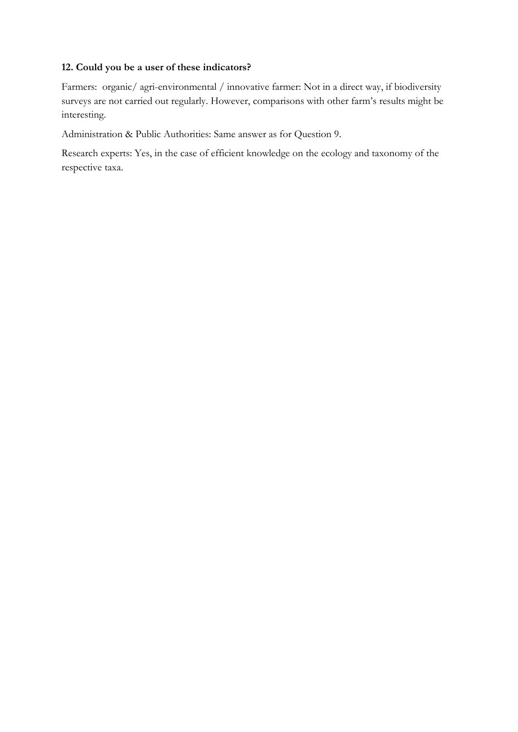### **12. Could you be a user of these indicators?**

Farmers: organic/ agri-environmental / innovative farmer: Not in a direct way, if biodiversity surveys are not carried out regularly. However, comparisons with other farm"s results might be interesting.

Administration & Public Authorities: Same answer as for Question 9.

Research experts: Yes, in the case of efficient knowledge on the ecology and taxonomy of the respective taxa.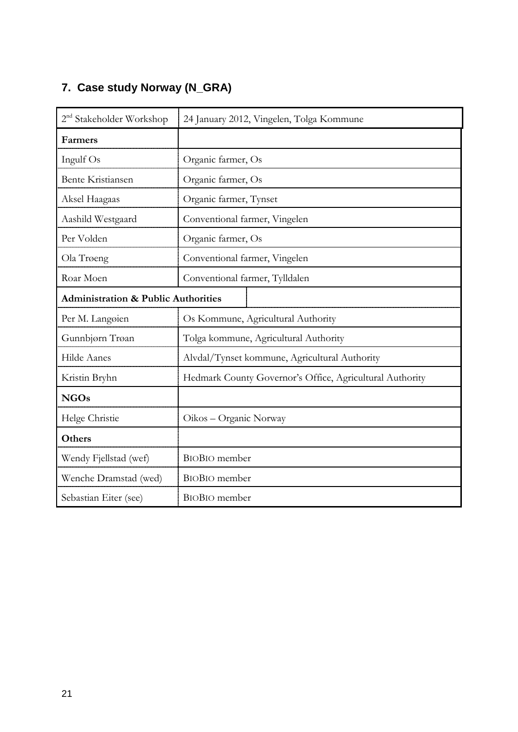# <span id="page-24-0"></span>**7. Case study Norway (N\_GRA)**

| 2 <sup>nd</sup> Stakeholder Workshop           | 24 January 2012, Vingelen, Tolga Kommune                 |  |  |  |
|------------------------------------------------|----------------------------------------------------------|--|--|--|
| <b>Farmers</b>                                 |                                                          |  |  |  |
| Ingulf Os                                      | Organic farmer, Os                                       |  |  |  |
| <b>Bente Kristiansen</b>                       | Organic farmer, Os                                       |  |  |  |
| Aksel Haagaas                                  | Organic farmer, Tynset                                   |  |  |  |
| Aashild Westgaard                              | Conventional farmer, Vingelen                            |  |  |  |
| Per Volden                                     | Organic farmer, Os                                       |  |  |  |
| Ola Trøeng                                     | Conventional farmer, Vingelen                            |  |  |  |
| Roar Moen                                      | Conventional farmer, Tylldalen                           |  |  |  |
| <b>Administration &amp; Public Authorities</b> |                                                          |  |  |  |
| Per M. Langoien                                | Os Kommune, Agricultural Authority                       |  |  |  |
| Gunnbjørn Trøan                                | Tolga kommune, Agricultural Authority                    |  |  |  |
| Hilde Aanes                                    | Alvdal/Tynset kommune, Agricultural Authority            |  |  |  |
| Kristin Bryhn                                  | Hedmark County Governor's Office, Agricultural Authority |  |  |  |
| <b>NGOs</b>                                    |                                                          |  |  |  |
| Helge Christie                                 | Oikos - Organic Norway                                   |  |  |  |
| Others                                         |                                                          |  |  |  |
| Wendy Fjellstad (wef)                          | <b>BIOBIO</b> member                                     |  |  |  |
| Wenche Dramstad (wed)                          | <b>BIOBIO</b> member                                     |  |  |  |
| Sebastian Eiter (see)                          | <b>BIOBIO</b> member                                     |  |  |  |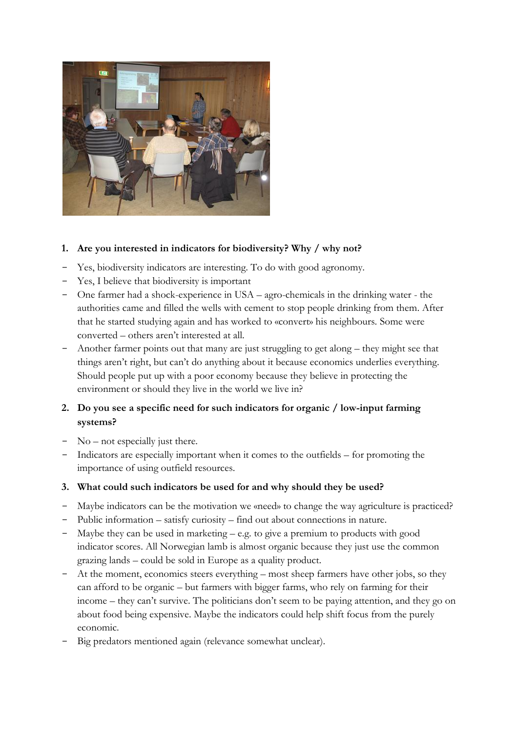

### **1. Are you interested in indicators for biodiversity? Why / why not?**

- Yes, biodiversity indicators are interesting. To do with good agronomy.
- Yes, I believe that biodiversity is important
- One farmer had a shock-experience in USA agro-chemicals in the drinking water the authorities came and filled the wells with cement to stop people drinking from them. After that he started studying again and has worked to «convert» his neighbours. Some were converted – others aren"t interested at all.
- Another farmer points out that many are just struggling to get along they might see that things aren"t right, but can"t do anything about it because economics underlies everything. Should people put up with a poor economy because they believe in protecting the environment or should they live in the world we live in?

# **2. Do you see a specific need for such indicators for organic / low-input farming systems?**

- No not especially just there.
- Indicators are especially important when it comes to the outfields for promoting the importance of using outfield resources.
- **3. What could such indicators be used for and why should they be used?**
- Maybe indicators can be the motivation we «need» to change the way agriculture is practiced?
- Public information satisfy curiosity find out about connections in nature.
- Maybe they can be used in marketing  $e.g.$  to give a premium to products with good indicator scores. All Norwegian lamb is almost organic because they just use the common grazing lands – could be sold in Europe as a quality product.
- At the moment, economics steers everything most sheep farmers have other jobs, so they can afford to be organic – but farmers with bigger farms, who rely on farming for their income – they can't survive. The politicians don't seem to be paying attention, and they go on about food being expensive. Maybe the indicators could help shift focus from the purely economic.
- Big predators mentioned again (relevance somewhat unclear).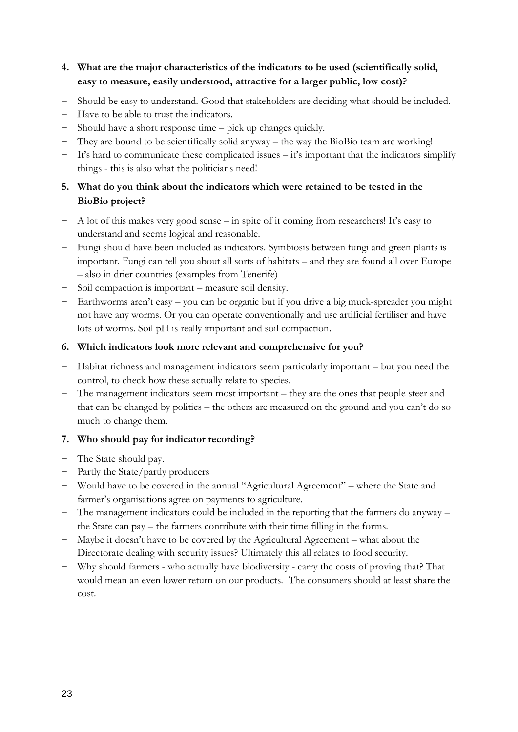## **4. What are the major characteristics of the indicators to be used (scientifically solid, easy to measure, easily understood, attractive for a larger public, low cost)?**

- Should be easy to understand. Good that stakeholders are deciding what should be included.
- Have to be able to trust the indicators.
- Should have a short response time pick up changes quickly.
- They are bound to be scientifically solid anyway the way the BioBio team are working!
- It"s hard to communicate these complicated issues it"s important that the indicators simplify things - this is also what the politicians need!

## **5. What do you think about the indicators which were retained to be tested in the BioBio project?**

- A lot of this makes very good sense in spite of it coming from researchers! It's easy to understand and seems logical and reasonable.
- Fungi should have been included as indicators. Symbiosis between fungi and green plants is important. Fungi can tell you about all sorts of habitats – and they are found all over Europe – also in drier countries (examples from Tenerife)
- Soil compaction is important measure soil density.
- Earthworms aren"t easy you can be organic but if you drive a big muck-spreader you might not have any worms. Or you can operate conventionally and use artificial fertiliser and have lots of worms. Soil pH is really important and soil compaction.

### **6. Which indicators look more relevant and comprehensive for you?**

- Habitat richness and management indicators seem particularly important but you need the control, to check how these actually relate to species.
- The management indicators seem most important they are the ones that people steer and that can be changed by politics – the others are measured on the ground and you can't do so much to change them.

### **7. Who should pay for indicator recording?**

- The State should pay.
- Partly the State/partly producers
- Would have to be covered in the annual "Agricultural Agreement" where the State and farmer's organisations agree on payments to agriculture.
- The management indicators could be included in the reporting that the farmers do anyway the State can pay – the farmers contribute with their time filling in the forms.
- Maybe it doesn"t have to be covered by the Agricultural Agreement what about the Directorate dealing with security issues? Ultimately this all relates to food security.
- Why should farmers who actually have biodiversity carry the costs of proving that? That would mean an even lower return on our products. The consumers should at least share the cost.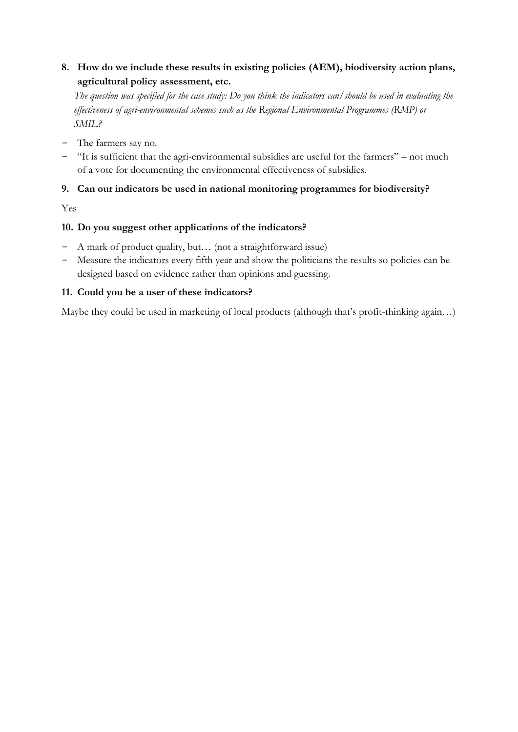# **8. How do we include these results in existing policies (AEM), biodiversity action plans, agricultural policy assessment, etc.**

*The question was specified for the case study: Do you think the indicators can/should be used in evaluating the effectiveness of agri-environmental schemes such as the Regional Environmental Programmes (RMP) or SMIL?*

- The farmers say no.
- "It is sufficient that the agri-environmental subsidies are useful for the farmers" not much of a vote for documenting the environmental effectiveness of subsidies.

# **9. Can our indicators be used in national monitoring programmes for biodiversity?**

Yes

### **10. Do you suggest other applications of the indicators?**

- A mark of product quality, but… (not a straightforward issue)
- Measure the indicators every fifth year and show the politicians the results so policies can be designed based on evidence rather than opinions and guessing.

### **11. Could you be a user of these indicators?**

Maybe they could be used in marketing of local products (although that's profit-thinking again...)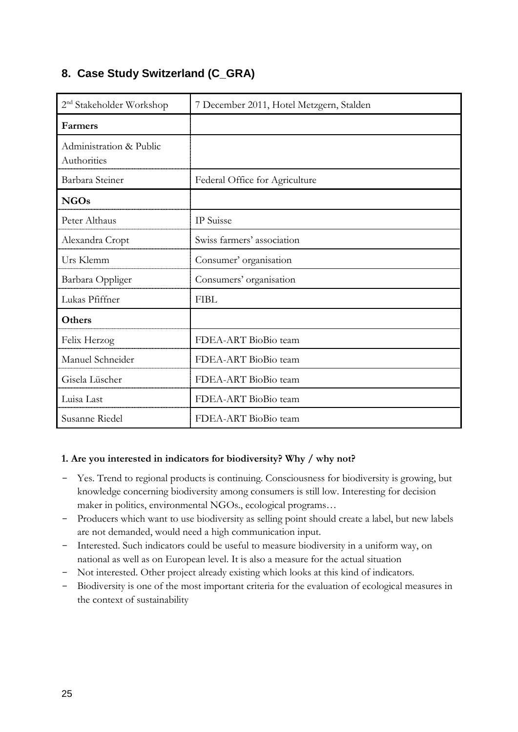# <span id="page-28-0"></span>**8. Case Study Switzerland (C\_GRA)**

| 2 <sup>nd</sup> Stakeholder Workshop   | 7 December 2011, Hotel Metzgern, Stalden |  |  |
|----------------------------------------|------------------------------------------|--|--|
| Farmers                                |                                          |  |  |
| Administration & Public<br>Authorities |                                          |  |  |
| Barbara Steiner                        | Federal Office for Agriculture           |  |  |
| <b>NGOs</b>                            |                                          |  |  |
| Peter Althaus                          | IP Suisse                                |  |  |
| Alexandra Cropt                        | Swiss farmers' association               |  |  |
| Urs Klemm                              | Consumer' organisation                   |  |  |
| Barbara Oppliger                       | Consumers' organisation                  |  |  |
| Lukas Pfiffner                         | <b>FIBL</b>                              |  |  |
| Others                                 |                                          |  |  |
| Felix Herzog                           | FDEA-ART BioBio team                     |  |  |
| Manuel Schneider                       | FDEA-ART BioBio team                     |  |  |
| Gisela Lüscher                         | FDEA-ART BioBio team                     |  |  |
| Luisa Last                             | FDEA-ART BioBio team                     |  |  |
| Susanne Riedel                         | FDEA-ART BioBio team                     |  |  |

### **1. Are you interested in indicators for biodiversity? Why / why not?**

- Yes. Trend to regional products is continuing. Consciousness for biodiversity is growing, but knowledge concerning biodiversity among consumers is still low. Interesting for decision maker in politics, environmental NGOs., ecological programs…
- Producers which want to use biodiversity as selling point should create a label, but new labels are not demanded, would need a high communication input.
- Interested. Such indicators could be useful to measure biodiversity in a uniform way, on national as well as on European level. It is also a measure for the actual situation
- Not interested. Other project already existing which looks at this kind of indicators.
- Biodiversity is one of the most important criteria for the evaluation of ecological measures in the context of sustainability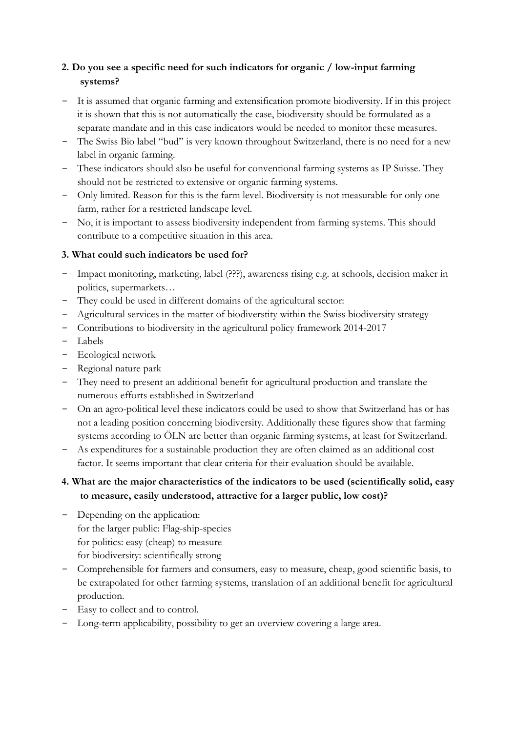# **2. Do you see a specific need for such indicators for organic / low-input farming systems?**

- It is assumed that organic farming and extensification promote biodiversity. If in this project it is shown that this is not automatically the case, biodiversity should be formulated as a separate mandate and in this case indicators would be needed to monitor these measures.
- The Swiss Bio label "bud" is very known throughout Switzerland, there is no need for a new label in organic farming.
- These indicators should also be useful for conventional farming systems as IP Suisse. They should not be restricted to extensive or organic farming systems.
- Only limited. Reason for this is the farm level. Biodiversity is not measurable for only one farm, rather for a restricted landscape level.
- No, it is important to assess biodiversity independent from farming systems. This should contribute to a competitive situation in this area.

## **3. What could such indicators be used for?**

- Impact monitoring, marketing, label (???), awareness rising e.g. at schools, decision maker in politics, supermarkets…
- They could be used in different domains of the agricultural sector:
- Agricultural services in the matter of biodiverstity within the Swiss biodiversity strategy
- Contributions to biodiversity in the agricultural policy framework 2014-2017
- Labels
- Ecological network
- Regional nature park
- They need to present an additional benefit for agricultural production and translate the numerous efforts established in Switzerland
- On an agro-political level these indicators could be used to show that Switzerland has or has not a leading position concerning biodiversity. Additionally these figures show that farming systems according to ÖLN are better than organic farming systems, at least for Switzerland.
- As expenditures for a sustainable production they are often claimed as an additional cost factor. It seems important that clear criteria for their evaluation should be available.

## **4. What are the major characteristics of the indicators to be used (scientifically solid, easy to measure, easily understood, attractive for a larger public, low cost)?**

- Depending on the application: for the larger public: Flag-ship-species for politics: easy (cheap) to measure for biodiversity: scientifically strong
- Comprehensible for farmers and consumers, easy to measure, cheap, good scientific basis, to be extrapolated for other farming systems, translation of an additional benefit for agricultural production.
- Easy to collect and to control.
- Long-term applicability, possibility to get an overview covering a large area.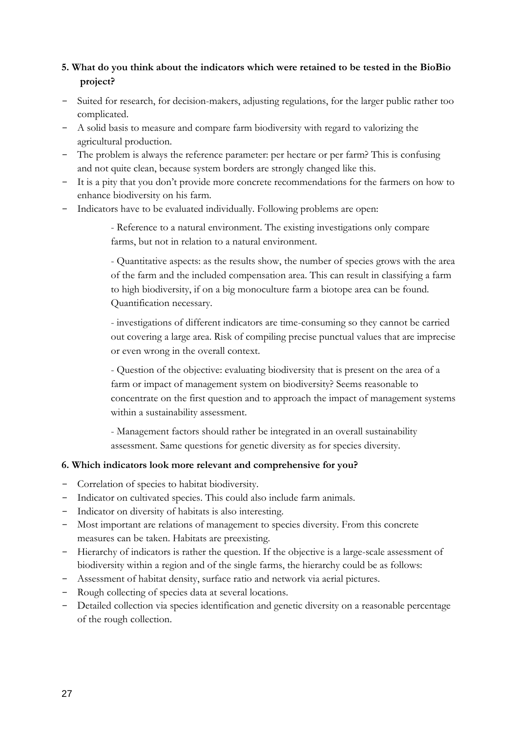## **5. What do you think about the indicators which were retained to be tested in the BioBio project?**

- Suited for research, for decision-makers, adjusting regulations, for the larger public rather too complicated.
- A solid basis to measure and compare farm biodiversity with regard to valorizing the agricultural production.
- The problem is always the reference parameter: per hectare or per farm? This is confusing and not quite clean, because system borders are strongly changed like this.
- It is a pity that you don"t provide more concrete recommendations for the farmers on how to enhance biodiversity on his farm.
- Indicators have to be evaluated individually. Following problems are open:

- Reference to a natural environment. The existing investigations only compare farms, but not in relation to a natural environment.

- Quantitative aspects: as the results show, the number of species grows with the area of the farm and the included compensation area. This can result in classifying a farm to high biodiversity, if on a big monoculture farm a biotope area can be found. Quantification necessary.

- investigations of different indicators are time-consuming so they cannot be carried out covering a large area. Risk of compiling precise punctual values that are imprecise or even wrong in the overall context.

- Question of the objective: evaluating biodiversity that is present on the area of a farm or impact of management system on biodiversity? Seems reasonable to concentrate on the first question and to approach the impact of management systems within a sustainability assessment.

- Management factors should rather be integrated in an overall sustainability assessment. Same questions for genetic diversity as for species diversity.

## **6. Which indicators look more relevant and comprehensive for you?**

- Correlation of species to habitat biodiversity.
- Indicator on cultivated species. This could also include farm animals.
- Indicator on diversity of habitats is also interesting.
- Most important are relations of management to species diversity. From this concrete measures can be taken. Habitats are preexisting.
- Hierarchy of indicators is rather the question. If the objective is a large-scale assessment of biodiversity within a region and of the single farms, the hierarchy could be as follows:
- Assessment of habitat density, surface ratio and network via aerial pictures.
- Rough collecting of species data at several locations.
- Detailed collection via species identification and genetic diversity on a reasonable percentage of the rough collection.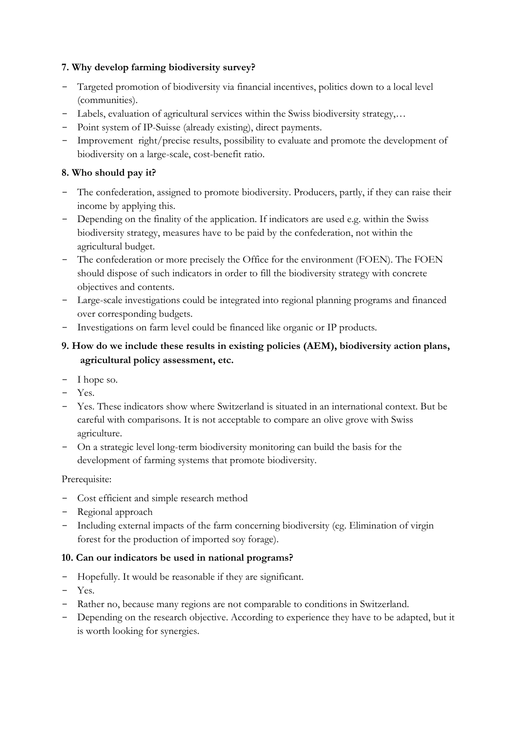### **7. Why develop farming biodiversity survey?**

- Targeted promotion of biodiversity via financial incentives, politics down to a local level (communities).
- Labels, evaluation of agricultural services within the Swiss biodiversity strategy,…
- Point system of IP-Suisse (already existing), direct payments.
- Improvement right/precise results, possibility to evaluate and promote the development of biodiversity on a large-scale, cost-benefit ratio.

## **8. Who should pay it?**

- The confederation, assigned to promote biodiversity. Producers, partly, if they can raise their income by applying this.
- Depending on the finality of the application. If indicators are used e.g. within the Swiss biodiversity strategy, measures have to be paid by the confederation, not within the agricultural budget.
- The confederation or more precisely the Office for the environment (FOEN). The FOEN should dispose of such indicators in order to fill the biodiversity strategy with concrete objectives and contents.
- Large-scale investigations could be integrated into regional planning programs and financed over corresponding budgets.
- Investigations on farm level could be financed like organic or IP products.

## **9. How do we include these results in existing policies (AEM), biodiversity action plans, agricultural policy assessment, etc.**

- I hope so.
- Yes.
- Yes. These indicators show where Switzerland is situated in an international context. But be careful with comparisons. It is not acceptable to compare an olive grove with Swiss agriculture.
- On a strategic level long-term biodiversity monitoring can build the basis for the development of farming systems that promote biodiversity.

## Prerequisite:

- Cost efficient and simple research method
- Regional approach
- Including external impacts of the farm concerning biodiversity (eg. Elimination of virgin forest for the production of imported soy forage).

### **10. Can our indicators be used in national programs?**

- Hopefully. It would be reasonable if they are significant.
- Yes.
- Rather no, because many regions are not comparable to conditions in Switzerland.
- Depending on the research objective. According to experience they have to be adapted, but it is worth looking for synergies.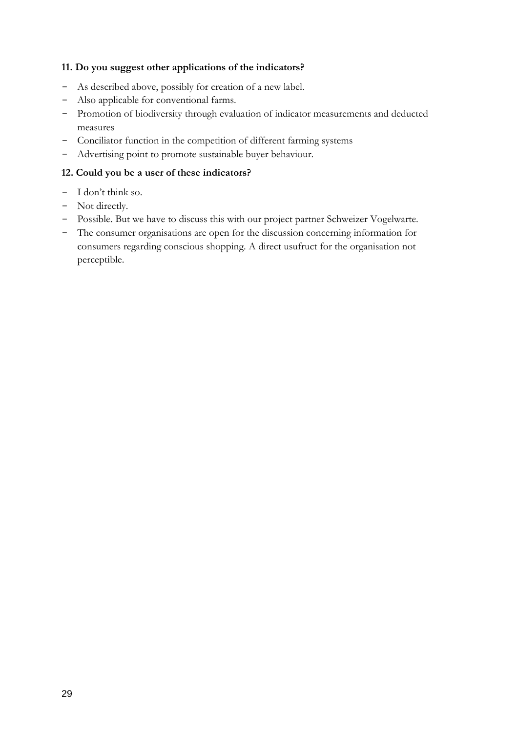### **11. Do you suggest other applications of the indicators?**

- As described above, possibly for creation of a new label.
- Also applicable for conventional farms.
- Promotion of biodiversity through evaluation of indicator measurements and deducted measures
- Conciliator function in the competition of different farming systems
- Advertising point to promote sustainable buyer behaviour.

#### **12. Could you be a user of these indicators?**

- I don"t think so.
- Not directly.
- Possible. But we have to discuss this with our project partner Schweizer Vogelwarte.
- The consumer organisations are open for the discussion concerning information for consumers regarding conscious shopping. A direct usufruct for the organisation not perceptible.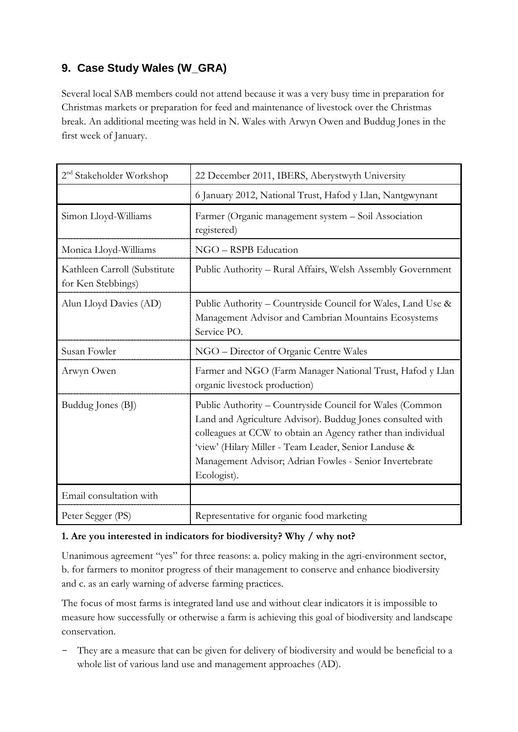# <span id="page-33-0"></span>**9. Case Study Wales (W\_GRA)**

Several local SAB members could not attend because it was a very busy time in preparation for Christmas markets or preparation for feed and maintenance of livestock over the Christmas break. An additional meeting was held in N. Wales with Arwyn Owen and Buddug Jones in the first week of January.

| $2nd$ Stakeholder Workshop                         | 22 December 2011, IBERS, Aberystwyth University                                                                                                                                                                                                                                                                           |  |  |
|----------------------------------------------------|---------------------------------------------------------------------------------------------------------------------------------------------------------------------------------------------------------------------------------------------------------------------------------------------------------------------------|--|--|
|                                                    | 6 January 2012, National Trust, Hafod y Llan, Nantgwynant                                                                                                                                                                                                                                                                 |  |  |
| Simon Lloyd-Williams                               | Farmer (Organic management system - Soil Association<br>registered)                                                                                                                                                                                                                                                       |  |  |
| Monica Lloyd-Williams                              | NGO - RSPB Education                                                                                                                                                                                                                                                                                                      |  |  |
| Kathleen Carroll (Substitute<br>for Ken Stebbings) | Public Authority - Rural Affairs, Welsh Assembly Government                                                                                                                                                                                                                                                               |  |  |
| Alun Lloyd Davies (AD)                             | Public Authority – Countryside Council for Wales, Land Use &<br>Management Advisor and Cambrian Mountains Ecosystems<br>Service PO.                                                                                                                                                                                       |  |  |
| Susan Fowler                                       | NGO - Director of Organic Centre Wales                                                                                                                                                                                                                                                                                    |  |  |
| Arwyn Owen                                         | Farmer and NGO (Farm Manager National Trust, Hafod y Llan<br>organic livestock production)                                                                                                                                                                                                                                |  |  |
| Buddug Jones (BJ)                                  | Public Authority - Countryside Council for Wales (Common<br>Land and Agriculture Advisor). Buddug Jones consulted with<br>colleagues at CCW to obtain an Agency rather than individual<br>'view' (Hilary Miller - Team Leader, Senior Landuse &<br>Management Advisor; Adrian Fowles - Senior Invertebrate<br>Ecologist). |  |  |
| Email consultation with                            |                                                                                                                                                                                                                                                                                                                           |  |  |
| Peter Segger (PS)                                  | Representative for organic food marketing                                                                                                                                                                                                                                                                                 |  |  |

## **1. Are you interested in indicators for biodiversity? Why / why not?**

Unanimous agreement "yes" for three reasons: a. policy making in the agri-environment sector, b. for farmers to monitor progress of their management to conserve and enhance biodiversity and c. as an early warning of adverse farming practices.

The focus of most farms is integrated land use and without clear indicators it is impossible to measure how successfully or otherwise a farm is achieving this goal of biodiversity and landscape conservation.

- They are a measure that can be given for delivery of biodiversity and would be beneficial to a whole list of various land use and management approaches (AD).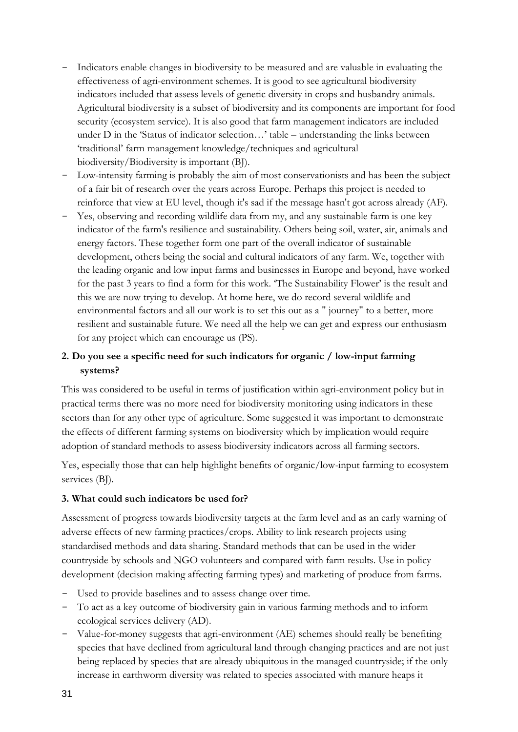- Indicators enable changes in biodiversity to be measured and are valuable in evaluating the effectiveness of agri-environment schemes. It is good to see agricultural biodiversity indicators included that assess levels of genetic diversity in crops and husbandry animals. Agricultural biodiversity is a subset of biodiversity and its components are important for food security (ecosystem service). It is also good that farm management indicators are included under D in the 'Status of indicator selection...' table – understanding the links between "traditional" farm management knowledge/techniques and agricultural biodiversity/Biodiversity is important (BJ).
- Low-intensity farming is probably the aim of most conservationists and has been the subject of a fair bit of research over the years across Europe. Perhaps this project is needed to reinforce that view at EU level, though it's sad if the message hasn't got across already (AF).
- Yes, observing and recording wildlife data from my, and any sustainable farm is one key indicator of the farm's resilience and sustainability. Others being soil, water, air, animals and energy factors. These together form one part of the overall indicator of sustainable development, others being the social and cultural indicators of any farm. We, together with the leading organic and low input farms and businesses in Europe and beyond, have worked for the past 3 years to find a form for this work. 'The Sustainability Flower' is the result and this we are now trying to develop. At home here, we do record several wildlife and environmental factors and all our work is to set this out as a " journey" to a better, more resilient and sustainable future. We need all the help we can get and express our enthusiasm for any project which can encourage us (PS).

## **2. Do you see a specific need for such indicators for organic / low-input farming systems?**

This was considered to be useful in terms of justification within agri-environment policy but in practical terms there was no more need for biodiversity monitoring using indicators in these sectors than for any other type of agriculture. Some suggested it was important to demonstrate the effects of different farming systems on biodiversity which by implication would require adoption of standard methods to assess biodiversity indicators across all farming sectors.

Yes, especially those that can help highlight benefits of organic/low-input farming to ecosystem services (BJ).

### **3. What could such indicators be used for?**

Assessment of progress towards biodiversity targets at the farm level and as an early warning of adverse effects of new farming practices/crops. Ability to link research projects using standardised methods and data sharing. Standard methods that can be used in the wider countryside by schools and NGO volunteers and compared with farm results. Use in policy development (decision making affecting farming types) and marketing of produce from farms.

- Used to provide baselines and to assess change over time.
- To act as a key outcome of biodiversity gain in various farming methods and to inform ecological services delivery (AD).
- Value-for-money suggests that agri-environment (AE) schemes should really be benefiting species that have declined from agricultural land through changing practices and are not just being replaced by species that are already ubiquitous in the managed countryside; if the only increase in earthworm diversity was related to species associated with manure heaps it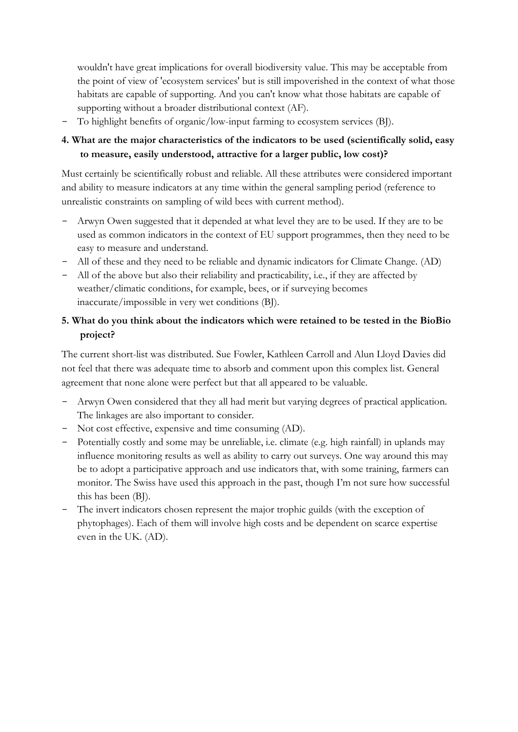wouldn't have great implications for overall biodiversity value. This may be acceptable from the point of view of 'ecosystem services' but is still impoverished in the context of what those habitats are capable of supporting. And you can't know what those habitats are capable of supporting without a broader distributional context (AF).

- To highlight benefits of organic/low-input farming to ecosystem services (BJ).

## **4. What are the major characteristics of the indicators to be used (scientifically solid, easy to measure, easily understood, attractive for a larger public, low cost)?**

Must certainly be scientifically robust and reliable. All these attributes were considered important and ability to measure indicators at any time within the general sampling period (reference to unrealistic constraints on sampling of wild bees with current method).

- Arwyn Owen suggested that it depended at what level they are to be used. If they are to be used as common indicators in the context of EU support programmes, then they need to be easy to measure and understand.
- All of these and they need to be reliable and dynamic indicators for Climate Change. (AD)
- All of the above but also their reliability and practicability, i.e., if they are affected by weather/climatic conditions, for example, bees, or if surveying becomes inaccurate/impossible in very wet conditions (BJ).

# **5. What do you think about the indicators which were retained to be tested in the BioBio project?**

The current short-list was distributed. Sue Fowler, Kathleen Carroll and Alun Lloyd Davies did not feel that there was adequate time to absorb and comment upon this complex list. General agreement that none alone were perfect but that all appeared to be valuable.

- Arwyn Owen considered that they all had merit but varying degrees of practical application. The linkages are also important to consider.
- Not cost effective, expensive and time consuming (AD).
- Potentially costly and some may be unreliable, i.e. climate (e.g. high rainfall) in uplands may influence monitoring results as well as ability to carry out surveys. One way around this may be to adopt a participative approach and use indicators that, with some training, farmers can monitor. The Swiss have used this approach in the past, though I"m not sure how successful this has been (BJ).
- The invert indicators chosen represent the major trophic guilds (with the exception of phytophages). Each of them will involve high costs and be dependent on scarce expertise even in the UK. (AD).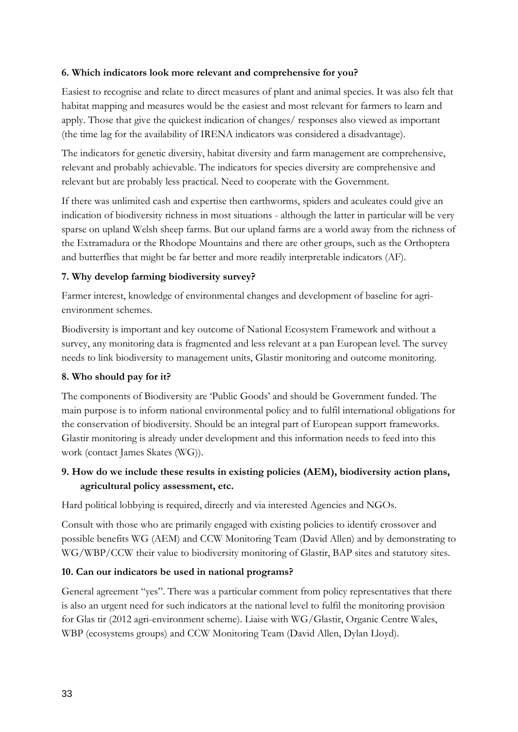#### **6. Which indicators look more relevant and comprehensive for you?**

Easiest to recognise and relate to direct measures of plant and animal species. It was also felt that habitat mapping and measures would be the easiest and most relevant for farmers to learn and apply. Those that give the quickest indication of changes/ responses also viewed as important (the time lag for the availability of IRENA indicators was considered a disadvantage).

The indicators for genetic diversity, habitat diversity and farm management are comprehensive, relevant and probably achievable. The indicators for species diversity are comprehensive and relevant but are probably less practical. Need to cooperate with the Government.

If there was unlimited cash and expertise then earthworms, spiders and aculeates could give an indication of biodiversity richness in most situations - although the latter in particular will be very sparse on upland Welsh sheep farms. But our upland farms are a world away from the richness of the Extramadura or the Rhodope Mountains and there are other groups, such as the Orthoptera and butterflies that might be far better and more readily interpretable indicators (AF).

### **7. Why develop farming biodiversity survey?**

Farmer interest, knowledge of environmental changes and development of baseline for agrienvironment schemes.

Biodiversity is important and key outcome of National Ecosystem Framework and without a survey, any monitoring data is fragmented and less relevant at a pan European level. The survey needs to link biodiversity to management units, Glastir monitoring and outcome monitoring.

#### **8. Who should pay for it?**

The components of Biodiversity are "Public Goods" and should be Government funded. The main purpose is to inform national environmental policy and to fulfil international obligations for the conservation of biodiversity. Should be an integral part of European support frameworks. Glastir monitoring is already under development and this information needs to feed into this work (contact James Skates (WG)).

### **9. How do we include these results in existing policies (AEM), biodiversity action plans, agricultural policy assessment, etc.**

Hard political lobbying is required, directly and via interested Agencies and NGOs.

Consult with those who are primarily engaged with existing policies to identify crossover and possible benefits WG (AEM) and CCW Monitoring Team (David Allen) and by demonstrating to WG/WBP/CCW their value to biodiversity monitoring of Glastir, BAP sites and statutory sites.

### **10. Can our indicators be used in national programs?**

General agreement "yes". There was a particular comment from policy representatives that there is also an urgent need for such indicators at the national level to fulfil the monitoring provision for Glas tir (2012 agri-environment scheme). Liaise with WG/Glastir, Organic Centre Wales, WBP (ecosystems groups) and CCW Monitoring Team (David Allen, Dylan Lloyd).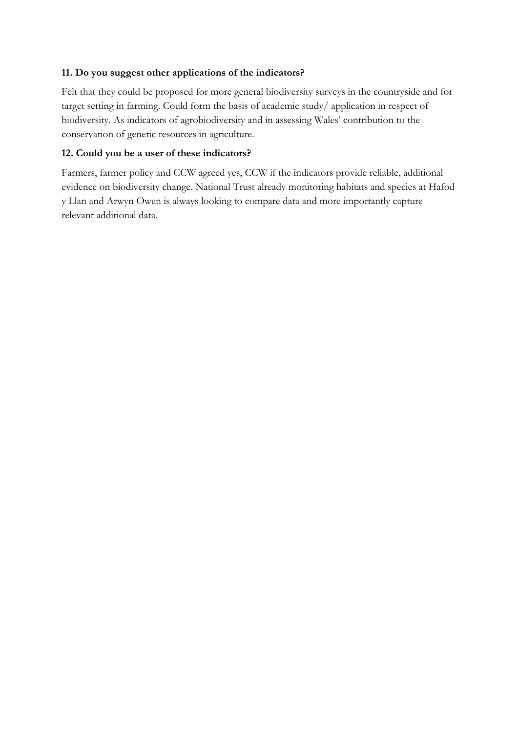### **11. Do you suggest other applications of the indicators?**

Felt that they could be proposed for more general biodiversity surveys in the countryside and for target setting in farming. Could form the basis of academic study/ application in respect of biodiversity. As indicators of agrobiodiversity and in assessing Wales" contribution to the conservation of genetic resources in agriculture.

### **12. Could you be a user of these indicators?**

Farmers, farmer policy and CCW agreed yes, CCW if the indicators provide reliable, additional evidence on biodiversity change. National Trust already monitoring habitats and species at Hafod y Llan and Arwyn Owen is always looking to compare data and more importantly capture relevant additional data.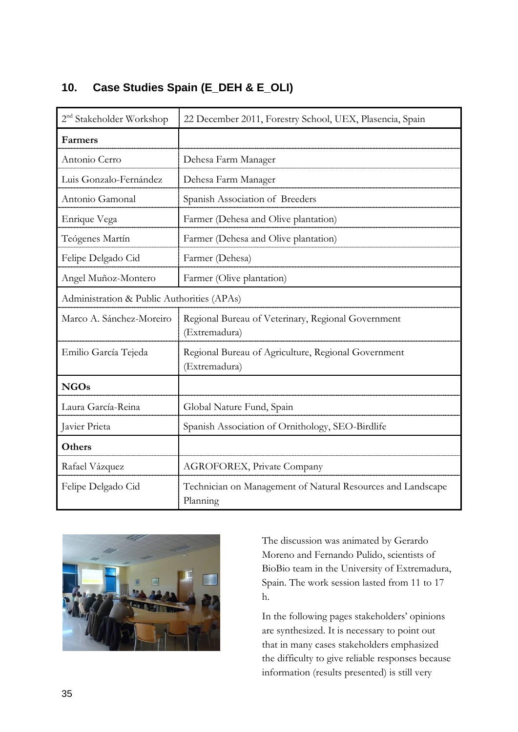<span id="page-38-0"></span>

|  |  | 10. Case Studies Spain (E_DEH & E_OLI) |  |  |  |  |  |
|--|--|----------------------------------------|--|--|--|--|--|
|--|--|----------------------------------------|--|--|--|--|--|

| 2 <sup>nd</sup> Stakeholder Workshop       | 22 December 2011, Forestry School, UEX, Plasencia, Spain                |
|--------------------------------------------|-------------------------------------------------------------------------|
| Farmers                                    |                                                                         |
| Antonio Cerro                              | Dehesa Farm Manager                                                     |
| Luis Gonzalo-Fernández                     | Dehesa Farm Manager                                                     |
| Antonio Gamonal                            | Spanish Association of Breeders                                         |
| Enrique Vega                               | Farmer (Dehesa and Olive plantation)                                    |
| Teógenes Martín                            | Farmer (Dehesa and Olive plantation)                                    |
| Felipe Delgado Cid                         | Farmer (Dehesa)                                                         |
| Angel Muñoz-Montero                        | Farmer (Olive plantation)                                               |
| Administration & Public Authorities (APAs) |                                                                         |
| Marco A. Sánchez-Moreiro                   | Regional Bureau of Veterinary, Regional Government<br>(Extremadura)     |
| Emilio García Tejeda                       | Regional Bureau of Agriculture, Regional Government<br>(Extremadura)    |
| <b>NGOs</b>                                |                                                                         |
| Laura García-Reina                         | Global Nature Fund, Spain                                               |
| Javier Prieta                              | Spanish Association of Ornithology, SEO-Birdlife                        |
| <b>Others</b>                              |                                                                         |
| Rafael Vázquez                             | <b>AGROFOREX, Private Company</b>                                       |
| Felipe Delgado Cid                         | Technician on Management of Natural Resources and Landscape<br>Planning |



The discussion was animated by Gerardo Moreno and Fernando Pulido, scientists of BioBio team in the University of Extremadura, Spain. The work session lasted from 11 to 17 h.

In the following pages stakeholders" opinions are synthesized. It is necessary to point out that in many cases stakeholders emphasized the difficulty to give reliable responses because information (results presented) is still very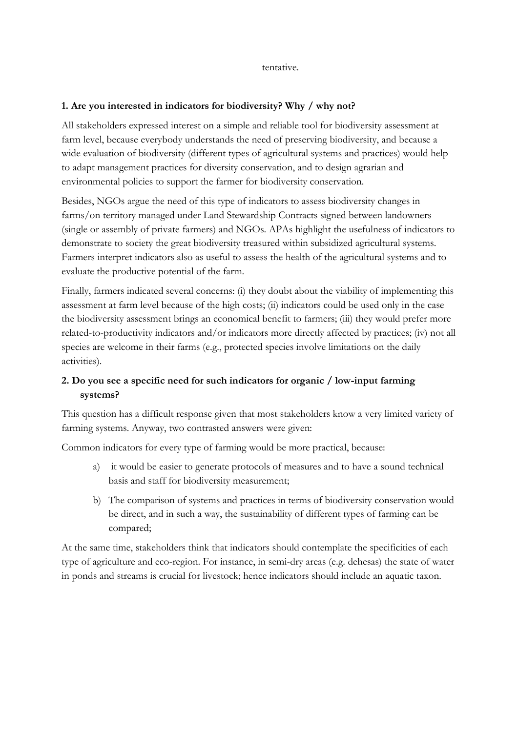tentative.

### **1. Are you interested in indicators for biodiversity? Why / why not?**

All stakeholders expressed interest on a simple and reliable tool for biodiversity assessment at farm level, because everybody understands the need of preserving biodiversity, and because a wide evaluation of biodiversity (different types of agricultural systems and practices) would help to adapt management practices for diversity conservation, and to design agrarian and environmental policies to support the farmer for biodiversity conservation.

Besides, NGOs argue the need of this type of indicators to assess biodiversity changes in farms/on territory managed under Land Stewardship Contracts signed between landowners (single or assembly of private farmers) and NGOs. APAs highlight the usefulness of indicators to demonstrate to society the great biodiversity treasured within subsidized agricultural systems. Farmers interpret indicators also as useful to assess the health of the agricultural systems and to evaluate the productive potential of the farm.

Finally, farmers indicated several concerns: (i) they doubt about the viability of implementing this assessment at farm level because of the high costs; (ii) indicators could be used only in the case the biodiversity assessment brings an economical benefit to farmers; (iii) they would prefer more related-to-productivity indicators and/or indicators more directly affected by practices; (iv) not all species are welcome in their farms (e.g., protected species involve limitations on the daily activities).

## **2. Do you see a specific need for such indicators for organic / low-input farming systems?**

This question has a difficult response given that most stakeholders know a very limited variety of farming systems. Anyway, two contrasted answers were given:

Common indicators for every type of farming would be more practical, because:

- a) it would be easier to generate protocols of measures and to have a sound technical basis and staff for biodiversity measurement;
- b) The comparison of systems and practices in terms of biodiversity conservation would be direct, and in such a way, the sustainability of different types of farming can be compared;

At the same time, stakeholders think that indicators should contemplate the specificities of each type of agriculture and eco-region. For instance, in semi-dry areas (e.g. dehesas) the state of water in ponds and streams is crucial for livestock; hence indicators should include an aquatic taxon.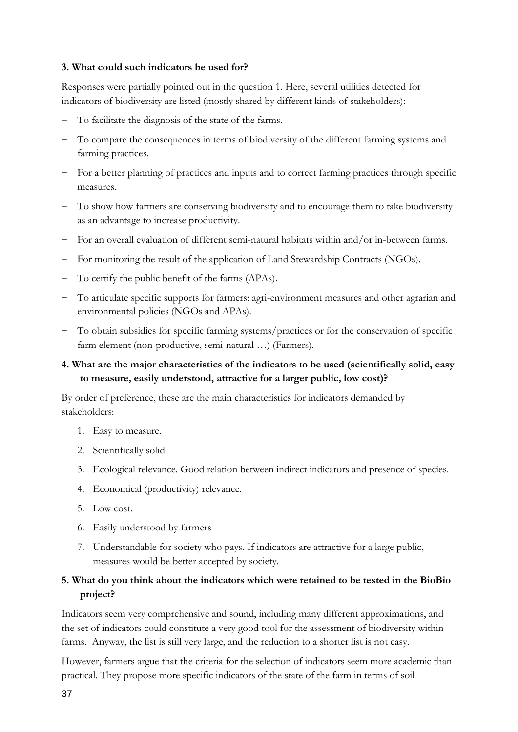### **3. What could such indicators be used for?**

Responses were partially pointed out in the question 1. Here, several utilities detected for indicators of biodiversity are listed (mostly shared by different kinds of stakeholders):

- To facilitate the diagnosis of the state of the farms.
- To compare the consequences in terms of biodiversity of the different farming systems and farming practices.
- For a better planning of practices and inputs and to correct farming practices through specific measures.
- To show how farmers are conserving biodiversity and to encourage them to take biodiversity as an advantage to increase productivity.
- For an overall evaluation of different semi-natural habitats within and/or in-between farms.
- For monitoring the result of the application of Land Stewardship Contracts (NGOs).
- To certify the public benefit of the farms (APAs).
- To articulate specific supports for farmers: agri-environment measures and other agrarian and environmental policies (NGOs and APAs).
- To obtain subsidies for specific farming systems/practices or for the conservation of specific farm element (non-productive, semi-natural …) (Farmers).

### **4. What are the major characteristics of the indicators to be used (scientifically solid, easy to measure, easily understood, attractive for a larger public, low cost)?**

By order of preference, these are the main characteristics for indicators demanded by stakeholders:

- 1. Easy to measure.
- 2. Scientifically solid.
- 3. Ecological relevance. Good relation between indirect indicators and presence of species.
- 4. Economical (productivity) relevance.
- 5. Low cost.
- 6. Easily understood by farmers
- 7. Understandable for society who pays. If indicators are attractive for a large public, measures would be better accepted by society.

## **5. What do you think about the indicators which were retained to be tested in the BioBio project?**

Indicators seem very comprehensive and sound, including many different approximations, and the set of indicators could constitute a very good tool for the assessment of biodiversity within farms. Anyway, the list is still very large, and the reduction to a shorter list is not easy.

However, farmers argue that the criteria for the selection of indicators seem more academic than practical. They propose more specific indicators of the state of the farm in terms of soil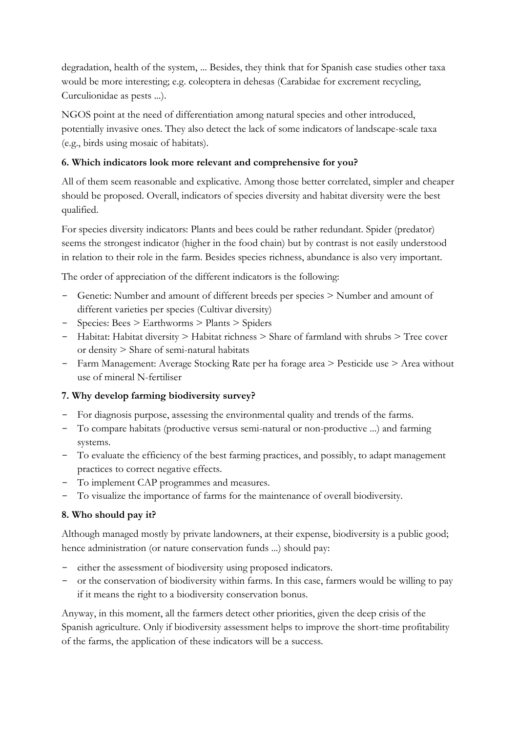degradation, health of the system, ... Besides, they think that for Spanish case studies other taxa would be more interesting; e.g. coleoptera in dehesas (Carabidae for excrement recycling, Curculionidae as pests ...).

NGOS point at the need of differentiation among natural species and other introduced, potentially invasive ones. They also detect the lack of some indicators of landscape-scale taxa (e.g., birds using mosaic of habitats).

## **6. Which indicators look more relevant and comprehensive for you?**

All of them seem reasonable and explicative. Among those better correlated, simpler and cheaper should be proposed. Overall, indicators of species diversity and habitat diversity were the best qualified.

For species diversity indicators: Plants and bees could be rather redundant. Spider (predator) seems the strongest indicator (higher in the food chain) but by contrast is not easily understood in relation to their role in the farm. Besides species richness, abundance is also very important.

The order of appreciation of the different indicators is the following:

- Genetic: Number and amount of different breeds per species > Number and amount of different varieties per species (Cultivar diversity)
- Species: Bees > Earthworms > Plants > Spiders
- Habitat: Habitat diversity > Habitat richness > Share of farmland with shrubs > Tree cover or density > Share of semi-natural habitats
- Farm Management: Average Stocking Rate per ha forage area > Pesticide use > Area without use of mineral N-fertiliser

## **7. Why develop farming biodiversity survey?**

- For diagnosis purpose, assessing the environmental quality and trends of the farms.
- To compare habitats (productive versus semi-natural or non-productive ...) and farming systems.
- To evaluate the efficiency of the best farming practices, and possibly, to adapt management practices to correct negative effects.
- To implement CAP programmes and measures.
- To visualize the importance of farms for the maintenance of overall biodiversity.

## **8. Who should pay it?**

Although managed mostly by private landowners, at their expense, biodiversity is a public good; hence administration (or nature conservation funds ...) should pay:

- either the assessment of biodiversity using proposed indicators.
- or the conservation of biodiversity within farms. In this case, farmers would be willing to pay if it means the right to a biodiversity conservation bonus.

Anyway, in this moment, all the farmers detect other priorities, given the deep crisis of the Spanish agriculture. Only if biodiversity assessment helps to improve the short-time profitability of the farms, the application of these indicators will be a success.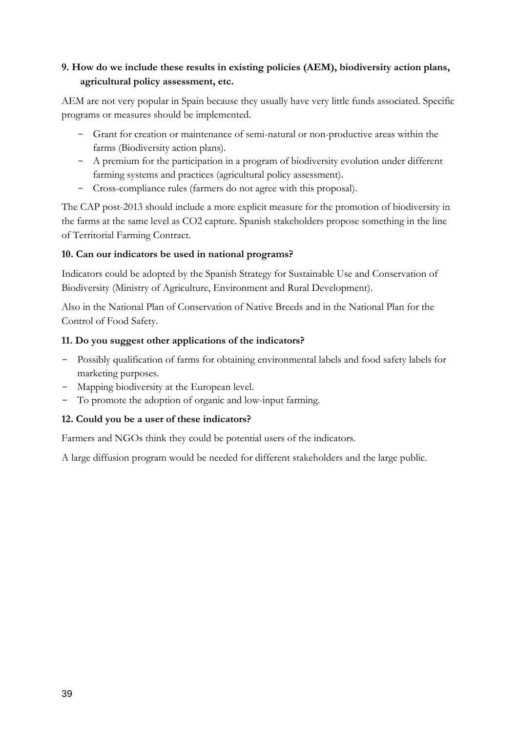# **9. How do we include these results in existing policies (AEM), biodiversity action plans, agricultural policy assessment, etc.**

AEM are not very popular in Spain because they usually have very little funds associated. Specific programs or measures should be implemented.

- Grant for creation or maintenance of semi-natural or non-productive areas within the farms (Biodiversity action plans).
- A premium for the participation in a program of biodiversity evolution under different farming systems and practices (agricultural policy assessment).
- Cross-compliance rules (farmers do not agree with this proposal).

The CAP post-2013 should include a more explicit measure for the promotion of biodiversity in the farms at the same level as CO2 capture. Spanish stakeholders propose something in the line of Territorial Farming Contract.

### **10. Can our indicators be used in national programs?**

Indicators could be adopted by the Spanish Strategy for Sustainable Use and Conservation of Biodiversity (Ministry of Agriculture, Environment and Rural Development).

Also in the National Plan of Conservation of Native Breeds and in the National Plan for the Control of Food Safety.

### **11. Do you suggest other applications of the indicators?**

- Possibly qualification of farms for obtaining environmental labels and food safety labels for marketing purposes.
- Mapping biodiversity at the European level.
- To promote the adoption of organic and low-input farming.

## **12. Could you be a user of these indicators?**

Farmers and NGOs think they could be potential users of the indicators.

A large diffusion program would be needed for different stakeholders and the large public.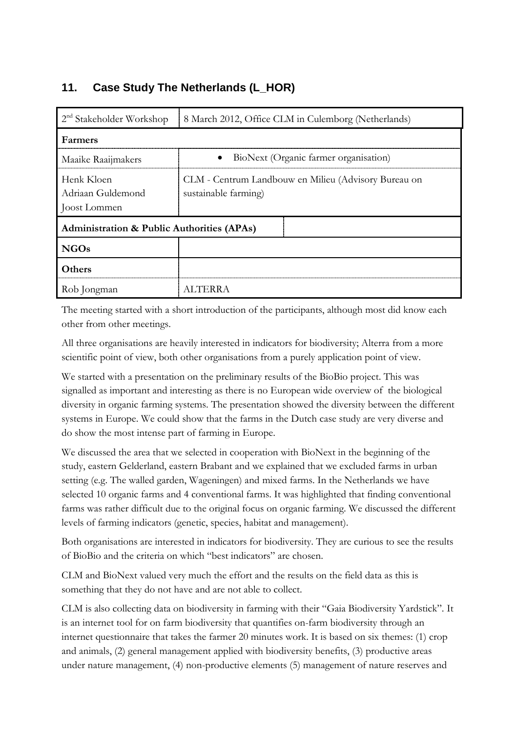# <span id="page-43-0"></span>**11. Case Study The Netherlands (L\_HOR)**

| $2nd$ Stakeholder Workshop                      | 8 March 2012, Office CLM in Culemborg (Netherlands)                          |
|-------------------------------------------------|------------------------------------------------------------------------------|
| Farmers                                         |                                                                              |
| Maaike Raaijmakers                              | BioNext (Organic farmer organisation)<br>$\bullet$                           |
| Henk Kloen<br>Adriaan Guldemond<br>Joost Lommen | CLM - Centrum Landbouw en Milieu (Advisory Bureau on<br>sustainable farming) |
| Administration & Public Authorities (APAs)      |                                                                              |
| <b>NGOs</b>                                     |                                                                              |
| Others                                          |                                                                              |
| Rob Jongman                                     | ALTERRA                                                                      |

The meeting started with a short introduction of the participants, although most did know each other from other meetings.

All three organisations are heavily interested in indicators for biodiversity; Alterra from a more scientific point of view, both other organisations from a purely application point of view.

We started with a presentation on the preliminary results of the BioBio project. This was signalled as important and interesting as there is no European wide overview of the biological diversity in organic farming systems. The presentation showed the diversity between the different systems in Europe. We could show that the farms in the Dutch case study are very diverse and do show the most intense part of farming in Europe.

We discussed the area that we selected in cooperation with BioNext in the beginning of the study, eastern Gelderland, eastern Brabant and we explained that we excluded farms in urban setting (e.g. The walled garden, Wageningen) and mixed farms. In the Netherlands we have selected 10 organic farms and 4 conventional farms. It was highlighted that finding conventional farms was rather difficult due to the original focus on organic farming. We discussed the different levels of farming indicators (genetic, species, habitat and management).

Both organisations are interested in indicators for biodiversity. They are curious to see the results of BioBio and the criteria on which "best indicators" are chosen.

CLM and BioNext valued very much the effort and the results on the field data as this is something that they do not have and are not able to collect.

CLM is also collecting data on biodiversity in farming with their "Gaia Biodiversity Yardstick". It is an internet tool for on farm biodiversity that quantifies on-farm biodiversity through an internet questionnaire that takes the farmer 20 minutes work. It is based on six themes: (1) crop and animals, (2) general management applied with biodiversity benefits, (3) productive areas under nature management, (4) non-productive elements (5) management of nature reserves and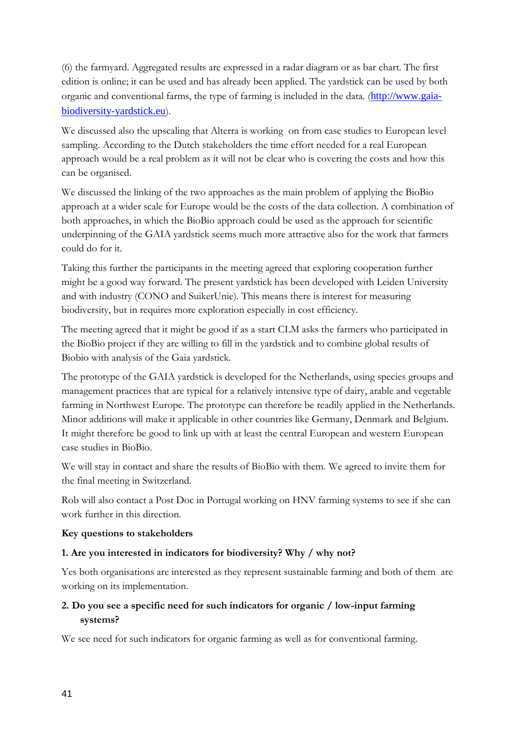(6) the farmyard. Aggregated results are expressed in a radar diagram or as bar chart. The first edition is online; it can be used and has already been applied. The yardstick can be used by both organic and conventional farms, the type of farming is included in the data. ([http://www.gaia](http://www.gaia-biodiversity-yardstick.eu/)[biodiversity-yardstick.eu](http://www.gaia-biodiversity-yardstick.eu/)).

We discussed also the upscaling that Alterra is working on from case studies to European level sampling. According to the Dutch stakeholders the time effort needed for a real European approach would be a real problem as it will not be clear who is covering the costs and how this can be organised.

We discussed the linking of the two approaches as the main problem of applying the BioBio approach at a wider scale for Europe would be the costs of the data collection. A combination of both approaches, in which the BioBio approach could be used as the approach for scientific underpinning of the GAIA yardstick seems much more attractive also for the work that farmers could do for it.

Taking this further the participants in the meeting agreed that exploring cooperation further might be a good way forward. The present yardstick has been developed with Leiden University and with industry (CONO and SuikerUnie). This means there is interest for measuring biodiversity, but in requires more exploration especially in cost efficiency.

The meeting agreed that it might be good if as a start CLM asks the farmers who participated in the BioBio project if they are willing to fill in the yardstick and to combine global results of Biobio with analysis of the Gaia yardstick.

The prototype of the GAIA yardstick is developed for the Netherlands, using species groups and management practices that are typical for a relatively intensive type of dairy, arable and vegetable farming in Northwest Europe. The prototype can therefore be readily applied in the Netherlands. Minor additions will make it applicable in other countries like Germany, Denmark and Belgium. It might therefore be good to link up with at least the central European and western European case studies in BioBio.

We will stay in contact and share the results of BioBio with them. We agreed to invite them for the final meeting in Switzerland.

Rob will also contact a Post Doc in Portugal working on HNV farming systems to see if she can work further in this direction.

### **Key questions to stakeholders**

### **1. Are you interested in indicators for biodiversity? Why / why not?**

Yes both organisations are interested as they represent sustainable farming and both of them are working on its implementation.

## **2. Do you see a specific need for such indicators for organic / low-input farming systems?**

We see need for such indicators for organic farming as well as for conventional farming.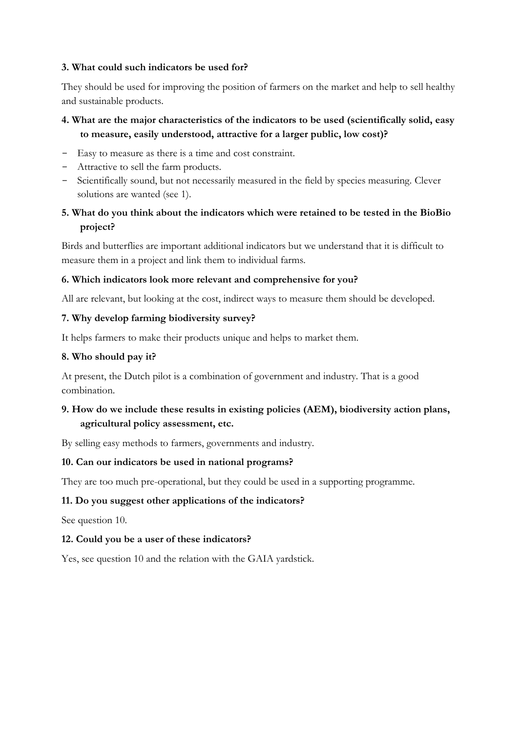### **3. What could such indicators be used for?**

They should be used for improving the position of farmers on the market and help to sell healthy and sustainable products.

# **4. What are the major characteristics of the indicators to be used (scientifically solid, easy to measure, easily understood, attractive for a larger public, low cost)?**

- Easy to measure as there is a time and cost constraint.
- Attractive to sell the farm products.
- Scientifically sound, but not necessarily measured in the field by species measuring. Clever solutions are wanted (see 1).

## **5. What do you think about the indicators which were retained to be tested in the BioBio project?**

Birds and butterflies are important additional indicators but we understand that it is difficult to measure them in a project and link them to individual farms.

#### **6. Which indicators look more relevant and comprehensive for you?**

All are relevant, but looking at the cost, indirect ways to measure them should be developed.

#### **7. Why develop farming biodiversity survey?**

It helps farmers to make their products unique and helps to market them.

#### **8. Who should pay it?**

At present, the Dutch pilot is a combination of government and industry. That is a good combination.

### **9. How do we include these results in existing policies (AEM), biodiversity action plans, agricultural policy assessment, etc.**

By selling easy methods to farmers, governments and industry.

#### **10. Can our indicators be used in national programs?**

They are too much pre-operational, but they could be used in a supporting programme.

#### **11. Do you suggest other applications of the indicators?**

See question 10.

#### **12. Could you be a user of these indicators?**

Yes, see question 10 and the relation with the GAIA yardstick.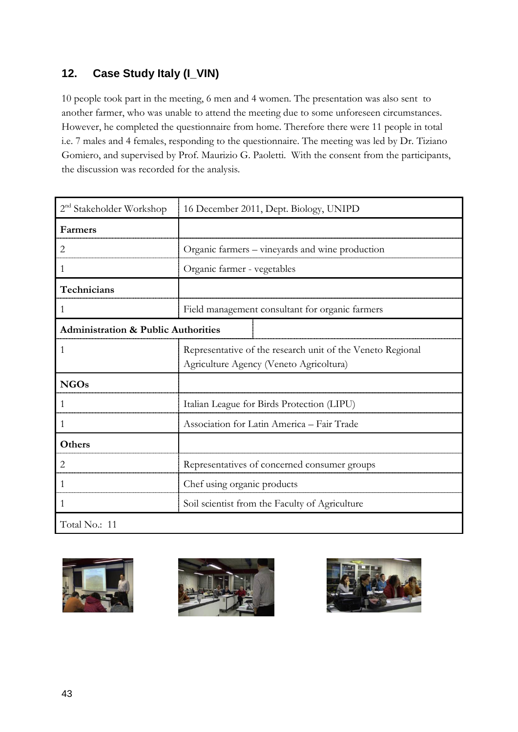# <span id="page-46-0"></span>**12. Case Study Italy (I\_VIN)**

10 people took part in the meeting, 6 men and 4 women. The presentation was also sent to another farmer, who was unable to attend the meeting due to some unforeseen circumstances. However, he completed the questionnaire from home. Therefore there were 11 people in total i.e. 7 males and 4 females, responding to the questionnaire. The meeting was led by Dr. Tiziano Gomiero, and supervised by Prof. Maurizio G. Paoletti. With the consent from the participants, the discussion was recorded for the analysis.

| 2 <sup>nd</sup> Stakeholder Workshop           | 16 December 2011, Dept. Biology, UNIPD                                                                |
|------------------------------------------------|-------------------------------------------------------------------------------------------------------|
| Farmers                                        |                                                                                                       |
| 2                                              | Organic farmers – vineyards and wine production                                                       |
| 1                                              | Organic farmer - vegetables                                                                           |
| Technicians                                    |                                                                                                       |
| 1                                              | Field management consultant for organic farmers                                                       |
| <b>Administration &amp; Public Authorities</b> |                                                                                                       |
| 1                                              | Representative of the research unit of the Veneto Regional<br>Agriculture Agency (Veneto Agricoltura) |
| <b>NGOs</b>                                    |                                                                                                       |
| 1                                              | Italian League for Birds Protection (LIPU)                                                            |
| 1                                              | Association for Latin America - Fair Trade                                                            |
| Others                                         |                                                                                                       |
| 2                                              | Representatives of concerned consumer groups                                                          |
| 1                                              | Chef using organic products                                                                           |
|                                                | Soil scientist from the Faculty of Agriculture                                                        |
| Total No.: 11                                  |                                                                                                       |



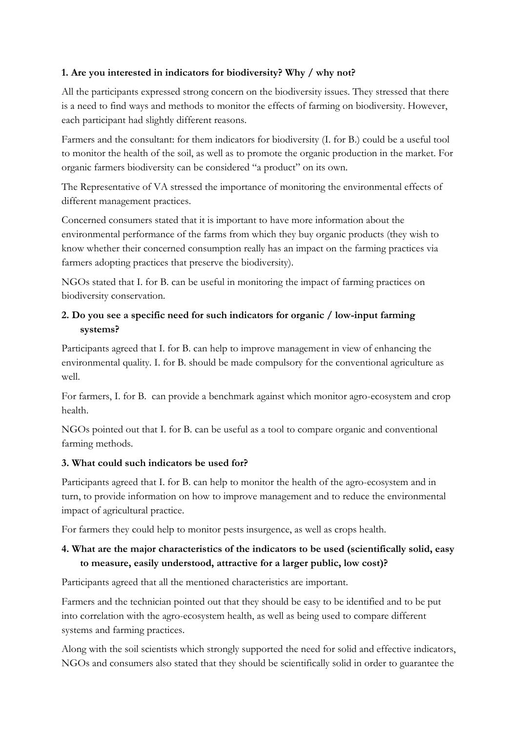### **1. Are you interested in indicators for biodiversity? Why / why not?**

All the participants expressed strong concern on the biodiversity issues. They stressed that there is a need to find ways and methods to monitor the effects of farming on biodiversity. However, each participant had slightly different reasons.

Farmers and the consultant: for them indicators for biodiversity (I. for B.) could be a useful tool to monitor the health of the soil, as well as to promote the organic production in the market. For organic farmers biodiversity can be considered "a product" on its own.

The Representative of VA stressed the importance of monitoring the environmental effects of different management practices.

Concerned consumers stated that it is important to have more information about the environmental performance of the farms from which they buy organic products (they wish to know whether their concerned consumption really has an impact on the farming practices via farmers adopting practices that preserve the biodiversity).

NGOs stated that I. for B. can be useful in monitoring the impact of farming practices on biodiversity conservation.

# **2. Do you see a specific need for such indicators for organic / low-input farming systems?**

Participants agreed that I. for B. can help to improve management in view of enhancing the environmental quality. I. for B. should be made compulsory for the conventional agriculture as well.

For farmers, I. for B. can provide a benchmark against which monitor agro-ecosystem and crop health.

NGOs pointed out that I. for B. can be useful as a tool to compare organic and conventional farming methods.

## **3. What could such indicators be used for?**

Participants agreed that I. for B. can help to monitor the health of the agro-ecosystem and in turn, to provide information on how to improve management and to reduce the environmental impact of agricultural practice.

For farmers they could help to monitor pests insurgence, as well as crops health.

# **4. What are the major characteristics of the indicators to be used (scientifically solid, easy to measure, easily understood, attractive for a larger public, low cost)?**

Participants agreed that all the mentioned characteristics are important.

Farmers and the technician pointed out that they should be easy to be identified and to be put into correlation with the agro-ecosystem health, as well as being used to compare different systems and farming practices.

Along with the soil scientists which strongly supported the need for solid and effective indicators, NGOs and consumers also stated that they should be scientifically solid in order to guarantee the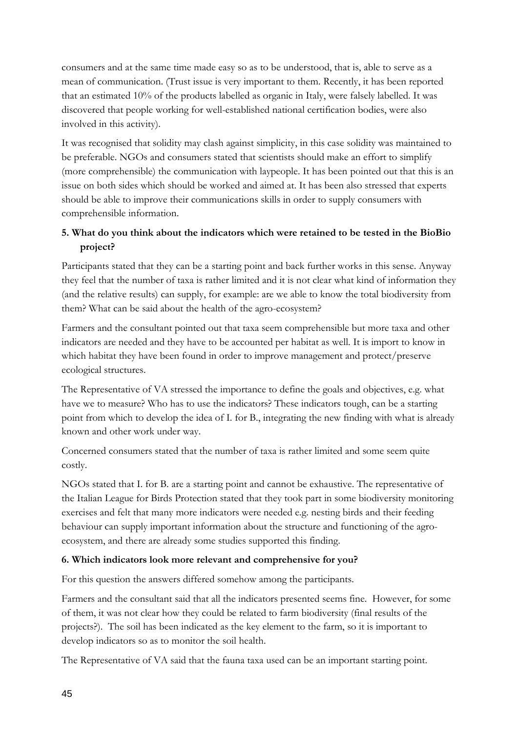consumers and at the same time made easy so as to be understood, that is, able to serve as a mean of communication. (Trust issue is very important to them. Recently, it has been reported that an estimated 10% of the products labelled as organic in Italy, were falsely labelled. It was discovered that people working for well-established national certification bodies, were also involved in this activity).

It was recognised that solidity may clash against simplicity, in this case solidity was maintained to be preferable. NGOs and consumers stated that scientists should make an effort to simplify (more comprehensible) the communication with laypeople. It has been pointed out that this is an issue on both sides which should be worked and aimed at. It has been also stressed that experts should be able to improve their communications skills in order to supply consumers with comprehensible information.

# **5. What do you think about the indicators which were retained to be tested in the BioBio project?**

Participants stated that they can be a starting point and back further works in this sense. Anyway they feel that the number of taxa is rather limited and it is not clear what kind of information they (and the relative results) can supply, for example: are we able to know the total biodiversity from them? What can be said about the health of the agro-ecosystem?

Farmers and the consultant pointed out that taxa seem comprehensible but more taxa and other indicators are needed and they have to be accounted per habitat as well. It is import to know in which habitat they have been found in order to improve management and protect/preserve ecological structures.

The Representative of VA stressed the importance to define the goals and objectives, e.g. what have we to measure? Who has to use the indicators? These indicators tough, can be a starting point from which to develop the idea of I. for B., integrating the new finding with what is already known and other work under way.

Concerned consumers stated that the number of taxa is rather limited and some seem quite costly.

NGOs stated that I. for B. are a starting point and cannot be exhaustive. The representative of the Italian League for Birds Protection stated that they took part in some biodiversity monitoring exercises and felt that many more indicators were needed e.g. nesting birds and their feeding behaviour can supply important information about the structure and functioning of the agroecosystem, and there are already some studies supported this finding.

## **6. Which indicators look more relevant and comprehensive for you?**

For this question the answers differed somehow among the participants.

Farmers and the consultant said that all the indicators presented seems fine. However, for some of them, it was not clear how they could be related to farm biodiversity (final results of the projects?). The soil has been indicated as the key element to the farm, so it is important to develop indicators so as to monitor the soil health.

The Representative of VA said that the fauna taxa used can be an important starting point.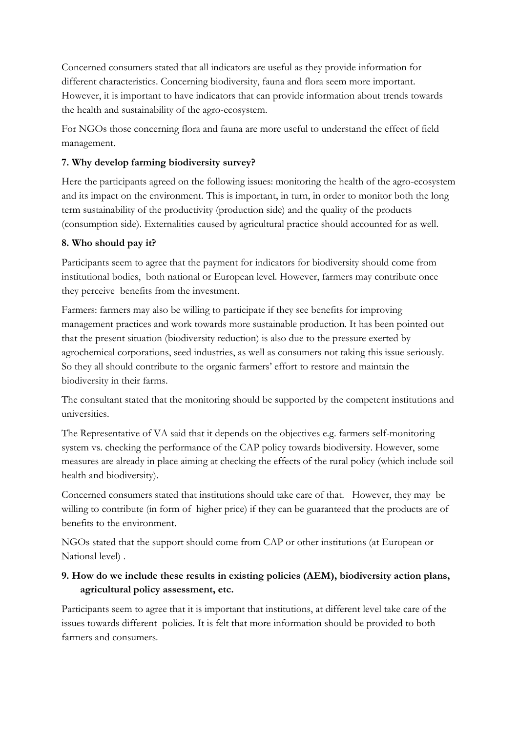Concerned consumers stated that all indicators are useful as they provide information for different characteristics. Concerning biodiversity, fauna and flora seem more important. However, it is important to have indicators that can provide information about trends towards the health and sustainability of the agro-ecosystem.

For NGOs those concerning flora and fauna are more useful to understand the effect of field management.

## **7. Why develop farming biodiversity survey?**

Here the participants agreed on the following issues: monitoring the health of the agro-ecosystem and its impact on the environment. This is important, in turn, in order to monitor both the long term sustainability of the productivity (production side) and the quality of the products (consumption side). Externalities caused by agricultural practice should accounted for as well.

## **8. Who should pay it?**

Participants seem to agree that the payment for indicators for biodiversity should come from institutional bodies, both national or European level. However, farmers may contribute once they perceive benefits from the investment.

Farmers: farmers may also be willing to participate if they see benefits for improving management practices and work towards more sustainable production. It has been pointed out that the present situation (biodiversity reduction) is also due to the pressure exerted by agrochemical corporations, seed industries, as well as consumers not taking this issue seriously. So they all should contribute to the organic farmers' effort to restore and maintain the biodiversity in their farms.

The consultant stated that the monitoring should be supported by the competent institutions and universities.

The Representative of VA said that it depends on the objectives e.g. farmers self-monitoring system vs. checking the performance of the CAP policy towards biodiversity. However, some measures are already in place aiming at checking the effects of the rural policy (which include soil health and biodiversity).

Concerned consumers stated that institutions should take care of that. However, they may be willing to contribute (in form of higher price) if they can be guaranteed that the products are of benefits to the environment.

NGOs stated that the support should come from CAP or other institutions (at European or National level) .

# **9. How do we include these results in existing policies (AEM), biodiversity action plans, agricultural policy assessment, etc.**

Participants seem to agree that it is important that institutions, at different level take care of the issues towards different policies. It is felt that more information should be provided to both farmers and consumers.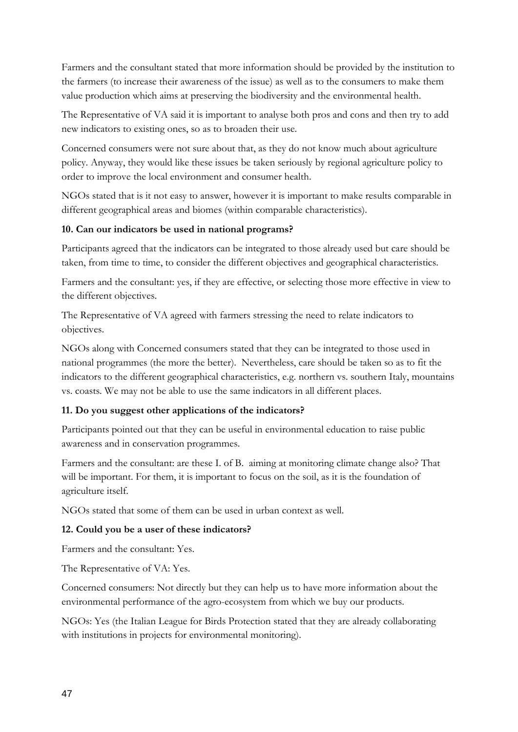Farmers and the consultant stated that more information should be provided by the institution to the farmers (to increase their awareness of the issue) as well as to the consumers to make them value production which aims at preserving the biodiversity and the environmental health.

The Representative of VA said it is important to analyse both pros and cons and then try to add new indicators to existing ones, so as to broaden their use.

Concerned consumers were not sure about that, as they do not know much about agriculture policy. Anyway, they would like these issues be taken seriously by regional agriculture policy to order to improve the local environment and consumer health.

NGOs stated that is it not easy to answer, however it is important to make results comparable in different geographical areas and biomes (within comparable characteristics).

### **10. Can our indicators be used in national programs?**

Participants agreed that the indicators can be integrated to those already used but care should be taken, from time to time, to consider the different objectives and geographical characteristics.

Farmers and the consultant: yes, if they are effective, or selecting those more effective in view to the different objectives.

The Representative of VA agreed with farmers stressing the need to relate indicators to objectives.

NGOs along with Concerned consumers stated that they can be integrated to those used in national programmes (the more the better). Nevertheless, care should be taken so as to fit the indicators to the different geographical characteristics, e.g. northern vs. southern Italy, mountains vs. coasts. We may not be able to use the same indicators in all different places.

## **11. Do you suggest other applications of the indicators?**

Participants pointed out that they can be useful in environmental education to raise public awareness and in conservation programmes.

Farmers and the consultant: are these I. of B. aiming at monitoring climate change also? That will be important. For them, it is important to focus on the soil, as it is the foundation of agriculture itself.

NGOs stated that some of them can be used in urban context as well.

### **12. Could you be a user of these indicators?**

Farmers and the consultant: Yes.

The Representative of VA: Yes.

Concerned consumers: Not directly but they can help us to have more information about the environmental performance of the agro-ecosystem from which we buy our products.

NGOs: Yes (the Italian League for Birds Protection stated that they are already collaborating with institutions in projects for environmental monitoring).